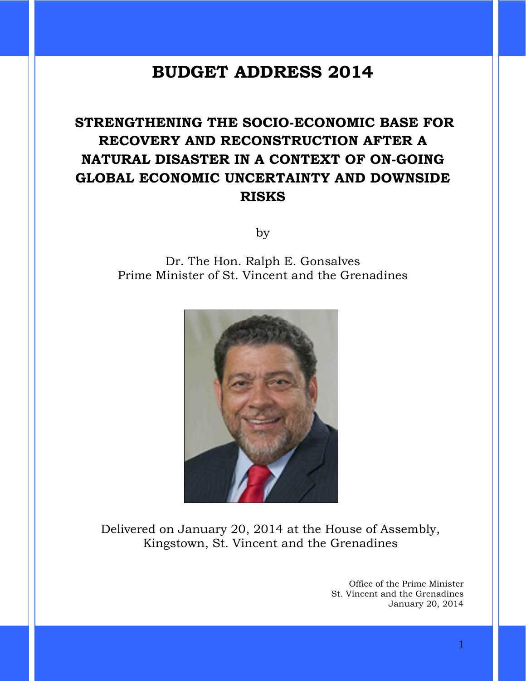# **BUDGET ADDRESS 2014**

# **STRENGTHENING THE SOCIO-ECONOMIC BASE FOR RECOVERY AND RECONSTRUCTION AFTER A NATURAL DISASTER IN A CONTEXT OF ON-GOING GLOBAL ECONOMIC UNCERTAINTY AND DOWNSIDE RISKS**

by

Dr. The Hon. Ralph E. Gonsalves Prime Minister of St. Vincent and the Grenadines



Delivered on January 20, 2014 at the House of Assembly, Kingstown, St. Vincent and the Grenadines

> Office of the Prime Minister St. Vincent and the Grenadines January 20, 2014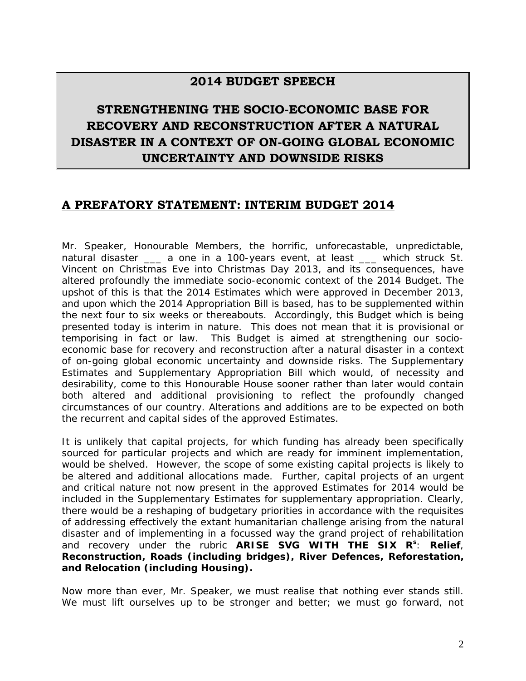# **2014 BUDGET SPEECH**

# **STRENGTHENING THE SOCIO-ECONOMIC BASE FOR RECOVERY AND RECONSTRUCTION AFTER A NATURAL DISASTER IN A CONTEXT OF ON-GOING GLOBAL ECONOMIC UNCERTAINTY AND DOWNSIDE RISKS**

# **A PREFATORY STATEMENT: INTERIM BUDGET 2014**

Mr. Speaker, Honourable Members, the horrific, unforecastable, unpredictable, natural disaster \_\_\_ a one in a 100-years event, at least \_\_\_ which struck St. Vincent on Christmas Eve into Christmas Day 2013, and its consequences, have altered profoundly the immediate socio-economic context of the 2014 Budget. The upshot of this is that the 2014 Estimates which were approved in December 2013, and upon which the 2014 Appropriation Bill is based, has to be supplemented within the next four to six weeks or thereabouts. Accordingly, this Budget which is being presented today is interim in nature. This does not mean that it is provisional or temporising in fact or law. This Budget is aimed at strengthening our socioeconomic base for recovery and reconstruction after a natural disaster in a context of on-going global economic uncertainty and downside risks. The Supplementary Estimates and Supplementary Appropriation Bill which would, of necessity and desirability, come to this Honourable House sooner rather than later would contain both altered and additional provisioning to reflect the profoundly changed circumstances of our country. Alterations and additions are to be expected on both the recurrent and capital sides of the approved Estimates.

It is unlikely that capital projects, for which funding has already been specifically sourced for particular projects and which are ready for imminent implementation, would be shelved. However, the scope of some existing capital projects is likely to be altered and additional allocations made. Further, capital projects of an urgent and critical nature not now present in the approved Estimates for 2014 would be included in the Supplementary Estimates for supplementary appropriation. Clearly, there would be a reshaping of budgetary priorities in accordance with the requisites of addressing effectively the extant humanitarian challenge arising from the natural disaster and of implementing in a focussed way the grand project of rehabilitation and recovery under the rubric **ARISE SVG WITH THE SIX Rs** : **Relief**, **Reconstruction, Roads (including bridges), River Defences, Reforestation, and Relocation (including Housing).**

Now more than ever, Mr. Speaker, we must realise that nothing ever stands still. We must lift ourselves up to be stronger and better; we must go forward, not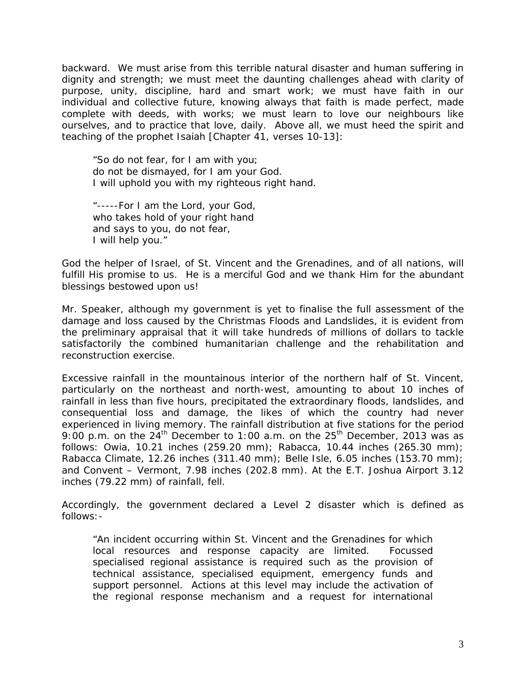backward. We must arise from this terrible natural disaster and human suffering in dignity and strength; we must meet the daunting challenges ahead with clarity of purpose, unity, discipline, hard and smart work; we must have faith in our individual and collective future, knowing always that faith is made perfect, made complete with deeds, with works; we must learn to love our neighbours like ourselves, and to practice that love, daily. Above all, we must heed the spirit and teaching of the prophet Isaiah [Chapter 41, verses 10-13]:

"*So do not fear, for I am with you; do not be dismayed, for I am your God. I will uphold you with my righteous right hand.*

*"-----For I am the Lord, your God, who takes hold of your right hand and says to you, do not fear, I will help you."*

God the helper of Israel, of St. Vincent and the Grenadines, and of all nations, will fulfill His promise to us. He is a merciful God and we thank Him for the abundant blessings bestowed upon us!

Mr. Speaker, although my government is yet to finalise the full assessment of the damage and loss caused by the Christmas Floods and Landslides, it is evident from the preliminary appraisal that it will take hundreds of millions of dollars to tackle satisfactorily the combined humanitarian challenge and the rehabilitation and reconstruction exercise.

Excessive rainfall in the mountainous interior of the northern half of St. Vincent, particularly on the northeast and north-west, amounting to about 10 inches of rainfall in less than five hours, precipitated the extraordinary floods, landslides, and consequential loss and damage, the likes of which the country had never experienced in living memory. The rainfall distribution at five stations for the period 9:00 p.m. on the  $24^{th}$  December to 1:00 a.m. on the  $25^{th}$  December, 2013 was as follows: Owia, 10.21 inches (259.20 mm); Rabacca, 10.44 inches (265.30 mm); Rabacca Climate, 12.26 inches (311.40 mm); Belle Isle, 6.05 inches (153.70 mm); and Convent – Vermont, 7.98 inches (202.8 mm). At the E.T. Joshua Airport 3.12 inches (79.22 mm) of rainfall, fell.

Accordingly, the government declared a Level 2 disaster which is defined as follows:-

"*An incident occurring within St. Vincent and the Grenadines for which local resources and response capacity are limited. Focussed specialised regional assistance is required such as the provision of technical assistance, specialised equipment, emergency funds and support personnel. Actions at this level may include the activation of the regional response mechanism and a request for international*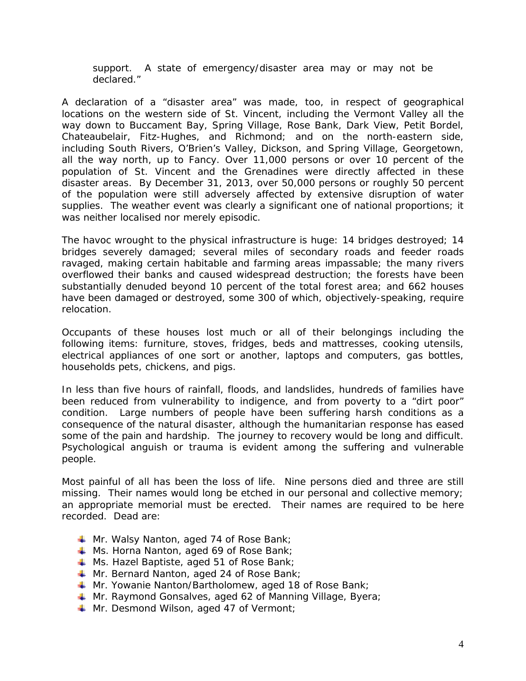*support. A state of emergency/disaster area may or may not be declared."*

A declaration of a "disaster area" was made, too, in respect of geographical locations on the western side of St. Vincent, including the Vermont Valley all the way down to Buccament Bay, Spring Village, Rose Bank, Dark View, Petit Bordel, Chateaubelair, Fitz-Hughes, and Richmond; and on the north-eastern side, including South Rivers, O'Brien's Valley, Dickson, and Spring Village, Georgetown, all the way north, up to Fancy. Over 11,000 persons or over 10 percent of the population of St. Vincent and the Grenadines were directly affected in these disaster areas. By December 31, 2013, over 50,000 persons or roughly 50 percent of the population were still adversely affected by extensive disruption of water supplies. The weather event was clearly a significant one of national proportions; it was neither localised nor merely episodic.

The havoc wrought to the physical infrastructure is huge: 14 bridges destroyed; 14 bridges severely damaged; several miles of secondary roads and feeder roads ravaged, making certain habitable and farming areas impassable; the many rivers overflowed their banks and caused widespread destruction; the forests have been substantially denuded beyond 10 percent of the total forest area; and 662 houses have been damaged or destroyed, some 300 of which, objectively-speaking, require relocation.

Occupants of these houses lost much or all of their belongings including the following items: furniture, stoves, fridges, beds and mattresses, cooking utensils, electrical appliances of one sort or another, laptops and computers, gas bottles, households pets, chickens, and pigs.

In less than five hours of rainfall, floods, and landslides, hundreds of families have been reduced from vulnerability to indigence, and from poverty to a "dirt poor" condition. Large numbers of people have been suffering harsh conditions as a consequence of the natural disaster, although the humanitarian response has eased some of the pain and hardship. The journey to recovery would be long and difficult. Psychological anguish or trauma is evident among the suffering and vulnerable people.

Most painful of all has been the loss of life. Nine persons died and three are still missing. Their names would long be etched in our personal and collective memory; an appropriate memorial must be erected. Their names are required to be here recorded. Dead are:

- $\textcolor{red}{\downarrow}$  Mr. Walsy Nanton, aged 74 of Rose Bank;
- **Ms. Horna Nanton, aged 69 of Rose Bank**;
- $\textcolor{red}{\downarrow}$  Ms. Hazel Baptiste, aged 51 of Rose Bank;
- **Mr. Bernard Nanton, aged 24 of Rose Bank;**
- **Mr. Yowanie Nanton/Bartholomew, aged 18 of Rose Bank;**
- **Mr. Raymond Gonsalves, aged 62 of Manning Village, Byera;**
- **Wr. Desmond Wilson, aged 47 of Vermont;**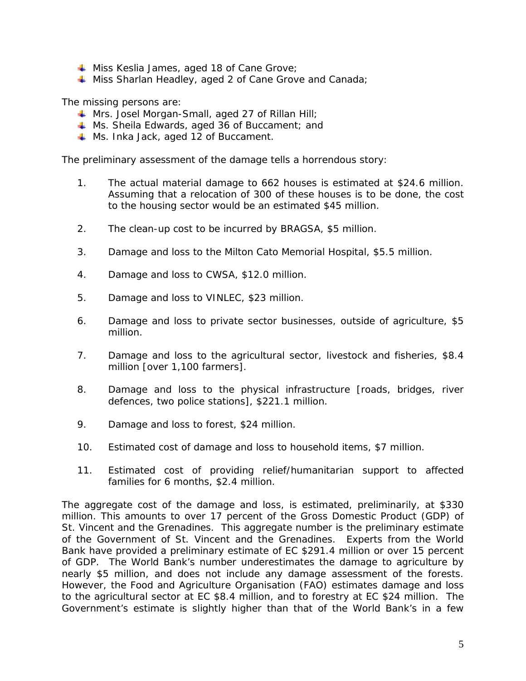- $\textcolor{red}{\downarrow}$  Miss Keslia James, aged 18 of Cane Grove;
- $\textcolor{red}{\downarrow}$  Miss Sharlan Headley, aged 2 of Cane Grove and Canada;

The missing persons are:

- **Wrs. Josel Morgan-Small, aged 27 of Rillan Hill;**
- **Ms. Sheila Edwards, aged 36 of Buccament; and**
- **Ms. Inka Jack, aged 12 of Buccament.**

The preliminary assessment of the damage tells a horrendous story:

- 1. The actual material damage to 662 houses is estimated at \$24.6 million. Assuming that a relocation of 300 of these houses is to be done, the cost to the housing sector would be an estimated \$45 million.
- 2. The clean-up cost to be incurred by BRAGSA, \$5 million.
- 3. Damage and loss to the Milton Cato Memorial Hospital, \$5.5 million.
- 4. Damage and loss to CWSA, \$12.0 million.
- 5. Damage and loss to VINLEC, \$23 million.
- 6. Damage and loss to private sector businesses, outside of agriculture, \$5 million.
- 7. Damage and loss to the agricultural sector, livestock and fisheries, \$8.4 million [over 1,100 farmers].
- 8. Damage and loss to the physical infrastructure [roads, bridges, river defences, two police stations], \$221.1 million.
- 9. Damage and loss to forest, \$24 million.
- 10. Estimated cost of damage and loss to household items, \$7 million.
- 11. Estimated cost of providing relief/humanitarian support to affected families for 6 months, \$2.4 million.

The aggregate cost of the damage and loss, is estimated, preliminarily, at \$330 million. This amounts to over 17 percent of the Gross Domestic Product (GDP) of St. Vincent and the Grenadines. This aggregate number is the preliminary estimate of the Government of St. Vincent and the Grenadines. Experts from the World Bank have provided a preliminary estimate of EC \$291.4 million or over 15 percent of GDP. The World Bank's number underestimates the damage to agriculture by nearly \$5 million, and does not include any damage assessment of the forests. However, the Food and Agriculture Organisation (FAO) estimates damage and loss to the agricultural sector at EC \$8.4 million, and to forestry at EC \$24 million. The Government's estimate is slightly higher than that of the World Bank's in a few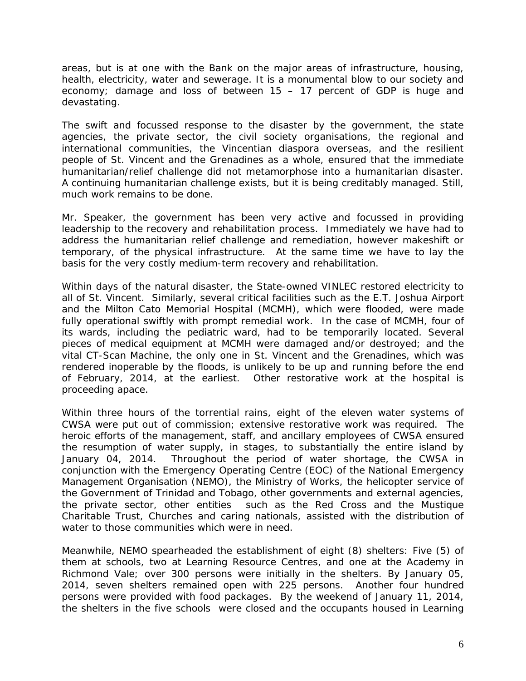areas, but is at one with the Bank on the major areas of infrastructure, housing, health, electricity, water and sewerage. It is a monumental blow to our society and economy; damage and loss of between 15 – 17 percent of GDP is huge and devastating.

The swift and focussed response to the disaster by the government, the state agencies, the private sector, the civil society organisations, the regional and international communities, the Vincentian diaspora overseas, and the resilient people of St. Vincent and the Grenadines as a whole, ensured that the immediate humanitarian/relief challenge did not metamorphose into a humanitarian disaster. A continuing humanitarian challenge exists, but it is being creditably managed. Still, much work remains to be done.

Mr. Speaker, the government has been very active and focussed in providing leadership to the recovery and rehabilitation process. Immediately we have had to address the humanitarian relief challenge and remediation, however makeshift or temporary, of the physical infrastructure. At the same time we have to lay the basis for the very costly medium-term recovery and rehabilitation.

Within days of the natural disaster, the State-owned VINLEC restored electricity to all of St. Vincent. Similarly, several critical facilities such as the E.T. Joshua Airport and the Milton Cato Memorial Hospital (MCMH), which were flooded, were made fully operational swiftly with prompt remedial work. In the case of MCMH, four of its wards, including the pediatric ward, had to be temporarily located. Several pieces of medical equipment at MCMH were damaged and/or destroyed; and the vital CT-Scan Machine, the only one in St. Vincent and the Grenadines, which was rendered inoperable by the floods, is unlikely to be up and running before the end of February, 2014, at the earliest. Other restorative work at the hospital is proceeding apace.

Within three hours of the torrential rains, eight of the eleven water systems of CWSA were put out of commission; extensive restorative work was required. The heroic efforts of the management, staff, and ancillary employees of CWSA ensured the resumption of water supply, in stages, to substantially the entire island by January 04, 2014. Throughout the period of water shortage, the CWSA in conjunction with the Emergency Operating Centre (EOC) of the National Emergency Management Organisation (NEMO), the Ministry of Works, the helicopter service of the Government of Trinidad and Tobago, other governments and external agencies, the private sector, other entities such as the Red Cross and the Mustique Charitable Trust, Churches and caring nationals, assisted with the distribution of water to those communities which were in need.

Meanwhile, NEMO spearheaded the establishment of eight (8) shelters: Five (5) of them at schools, two at Learning Resource Centres, and one at the Academy in Richmond Vale; over 300 persons were initially in the shelters. By January 05, 2014, seven shelters remained open with 225 persons. Another four hundred persons were provided with food packages. By the weekend of January 11, 2014, the shelters in the five schools were closed and the occupants housed in Learning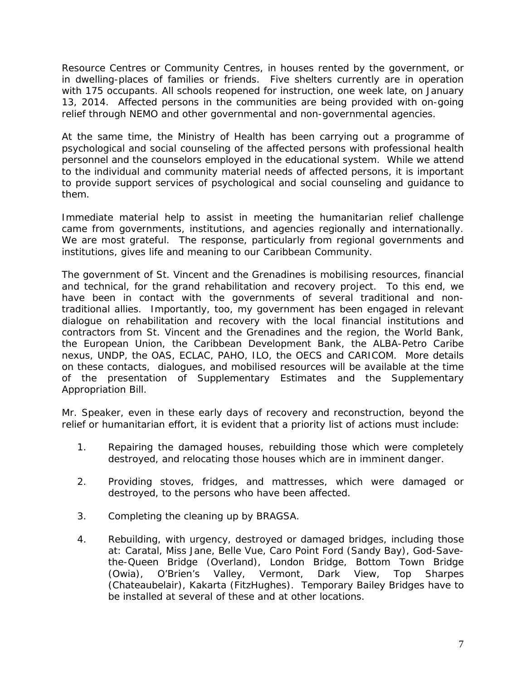Resource Centres or Community Centres, in houses rented by the government, or in dwelling-places of families or friends. Five shelters currently are in operation with 175 occupants. All schools reopened for instruction, one week late, on January 13, 2014. Affected persons in the communities are being provided with on-going relief through NEMO and other governmental and non-governmental agencies.

At the same time, the Ministry of Health has been carrying out a programme of psychological and social counseling of the affected persons with professional health personnel and the counselors employed in the educational system. While we attend to the individual and community material needs of affected persons, it is important to provide support services of psychological and social counseling and guidance to them.

Immediate material help to assist in meeting the humanitarian relief challenge came from governments, institutions, and agencies regionally and internationally. We are most grateful. The response, particularly from regional governments and institutions, gives life and meaning to our Caribbean Community.

The government of St. Vincent and the Grenadines is mobilising resources, financial and technical, for the grand rehabilitation and recovery project. To this end, we have been in contact with the governments of several traditional and nontraditional allies. Importantly, too, my government has been engaged in relevant dialogue on rehabilitation and recovery with the local financial institutions and contractors from St. Vincent and the Grenadines and the region, the World Bank, the European Union, the Caribbean Development Bank, the ALBA-Petro Caribe nexus, UNDP, the OAS, ECLAC, PAHO, ILO, the OECS and CARICOM. More details on these contacts, dialogues, and mobilised resources will be available at the time of the presentation of Supplementary Estimates and the Supplementary Appropriation Bill.

Mr. Speaker, even in these early days of recovery and reconstruction, beyond the relief or humanitarian effort, it is evident that a priority list of actions must include:

- 1. Repairing the damaged houses, rebuilding those which were completely destroyed, and relocating those houses which are in imminent danger.
- 2. Providing stoves, fridges, and mattresses, which were damaged or destroyed, to the persons who have been affected.
- 3. Completing the cleaning up by BRAGSA.
- 4. Rebuilding, with urgency, destroyed or damaged bridges, including those at: Caratal, Miss Jane, Belle Vue, Caro Point Ford (Sandy Bay), God-Savethe-Queen Bridge (Overland), London Bridge, Bottom Town Bridge<br>(Owia), O'Brien's Valley, Vermont, Dark View, Top Sharpes (Owia), O'Brien's Valley, Vermont, Dark View, Top Sharpes (Chateaubelair), Kakarta (FitzHughes). Temporary Bailey Bridges have to be installed at several of these and at other locations.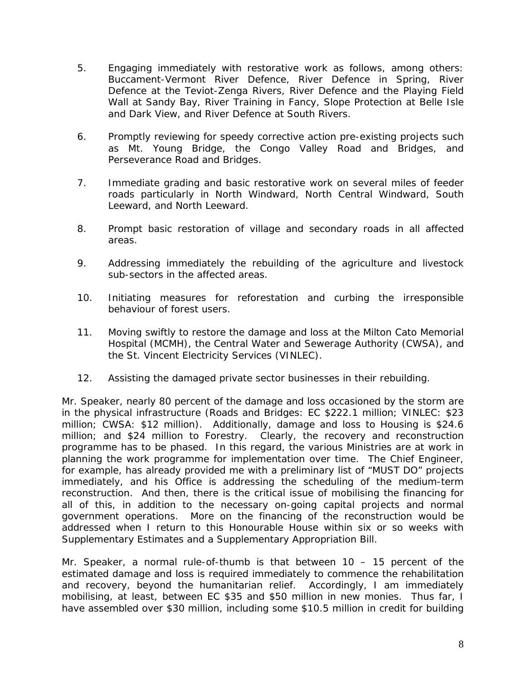- 5. Engaging immediately with restorative work as follows, among others: Buccament-Vermont River Defence, River Defence in Spring, River Defence at the Teviot-Zenga Rivers, River Defence and the Playing Field Wall at Sandy Bay, River Training in Fancy, Slope Protection at Belle Isle and Dark View, and River Defence at South Rivers.
- 6. Promptly reviewing for speedy corrective action pre-existing projects such as Mt. Young Bridge, the Congo Valley Road and Bridges, and Perseverance Road and Bridges.
- 7. Immediate grading and basic restorative work on several miles of feeder roads particularly in North Windward, North Central Windward, South Leeward, and North Leeward.
- 8. Prompt basic restoration of village and secondary roads in all affected areas.
- 9. Addressing immediately the rebuilding of the agriculture and livestock sub-sectors in the affected areas.
- 10. Initiating measures for reforestation and curbing the irresponsible behaviour of forest users.
- 11. Moving swiftly to restore the damage and loss at the Milton Cato Memorial Hospital (MCMH), the Central Water and Sewerage Authority (CWSA), and the St. Vincent Electricity Services (VINLEC).
- 12. Assisting the damaged private sector businesses in their rebuilding.

Mr. Speaker, nearly 80 percent of the damage and loss occasioned by the storm are in the physical infrastructure (Roads and Bridges: EC \$222.1 million; VINLEC: \$23 million; CWSA: \$12 million). Additionally, damage and loss to Housing is \$24.6 million; and \$24 million to Forestry. Clearly, the recovery and reconstruction programme has to be phased. In this regard, the various Ministries are at work in planning the work programme for implementation over time. The Chief Engineer, for example, has already provided me with a preliminary list of "MUST DO" projects immediately, and his Office is addressing the scheduling of the medium-term reconstruction. And then, there is the critical issue of mobilising the financing for all of this, in addition to the necessary on-going capital projects and normal government operations. More on the financing of the reconstruction would be addressed when I return to this Honourable House within six or so weeks with Supplementary Estimates and a Supplementary Appropriation Bill.

Mr. Speaker, a normal rule-of-thumb is that between 10 – 15 percent of the estimated damage and loss is required immediately to commence the rehabilitation and recovery, beyond the humanitarian relief. Accordingly, I am immediately mobilising, at least, between EC \$35 and \$50 million in new monies. Thus far, I have assembled over \$30 million, including some \$10.5 million in credit for building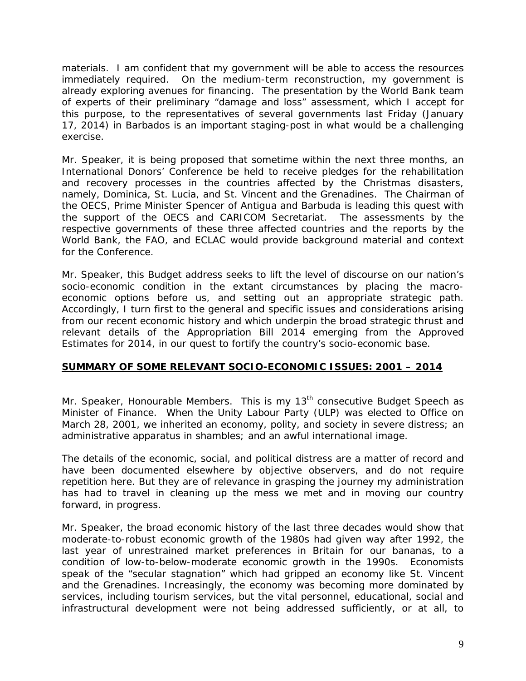materials. I am confident that my government will be able to access the resources immediately required. On the medium-term reconstruction, my government is already exploring avenues for financing. The presentation by the World Bank team of experts of their preliminary "damage and loss" assessment, which I accept for this purpose, to the representatives of several governments last Friday (January 17, 2014) in Barbados is an important staging-post in what would be a challenging exercise.

Mr. Speaker, it is being proposed that sometime within the next three months, an International Donors' Conference be held to receive pledges for the rehabilitation and recovery processes in the countries affected by the Christmas disasters, namely, Dominica, St. Lucia, and St. Vincent and the Grenadines. The Chairman of the OECS, Prime Minister Spencer of Antigua and Barbuda is leading this quest with the support of the OECS and CARICOM Secretariat. The assessments by the respective governments of these three affected countries and the reports by the World Bank, the FAO, and ECLAC would provide background material and context for the Conference.

Mr. Speaker, this Budget address seeks to lift the level of discourse on our nation's socio-economic condition in the extant circumstances by placing the macroeconomic options before us, and setting out an appropriate strategic path. Accordingly, I turn first to the general and specific issues and considerations arising from our recent economic history and which underpin the broad strategic thrust and relevant details of the Appropriation Bill 2014 emerging from the Approved Estimates for 2014, in our quest to fortify the country's socio-economic base.

# **SUMMARY OF SOME RELEVANT SOCIO-ECONOMIC ISSUES: 2001 – 2014**

Mr. Speaker, Honourable Members. This is my 13<sup>th</sup> consecutive Budget Speech as Minister of Finance. When the Unity Labour Party (ULP) was elected to Office on March 28, 2001, we inherited an economy, polity, and society in severe distress; an administrative apparatus in shambles; and an awful international image.

The details of the economic, social, and political distress are a matter of record and have been documented elsewhere by objective observers, and do not require repetition here. But they are of relevance in grasping the journey my administration has had to travel in cleaning up the mess we met and in moving our country forward, in progress.

Mr. Speaker, the broad economic history of the last three decades would show that moderate-to-robust economic growth of the 1980s had given way after 1992, the last year of unrestrained market preferences in Britain for our bananas, to a condition of low-to-below-moderate economic growth in the 1990s. Economists speak of the "secular stagnation" which had gripped an economy like St. Vincent and the Grenadines. Increasingly, the economy was becoming more dominated by services, including tourism services, but the vital personnel, educational, social and infrastructural development were not being addressed sufficiently, or at all, to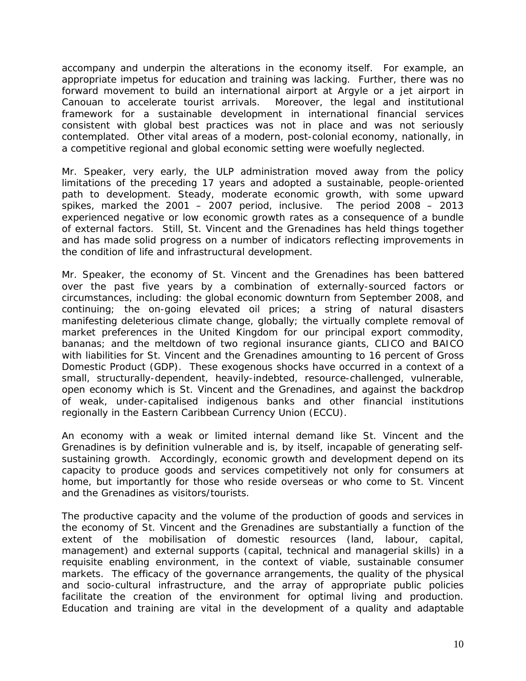accompany and underpin the alterations in the economy itself. For example, an appropriate impetus for education and training was lacking. Further, there was no forward movement to build an international airport at Argyle or a jet airport in Canouan to accelerate tourist arrivals. Moreover, the legal and institutional framework for a sustainable development in international financial services consistent with global best practices was not in place and was not seriously contemplated. Other vital areas of a modern, post-colonial economy, nationally, in a competitive regional and global economic setting were woefully neglected.

Mr. Speaker, very early, the ULP administration moved away from the policy limitations of the preceding 17 years and adopted a sustainable, people-oriented path to development. Steady, moderate economic growth, with some upward spikes, marked the 2001 – 2007 period, inclusive. The period 2008 – 2013 experienced negative or low economic growth rates as a consequence of a bundle of external factors. Still, St. Vincent and the Grenadines has held things together and has made solid progress on a number of indicators reflecting improvements in the condition of life and infrastructural development.

Mr. Speaker, the economy of St. Vincent and the Grenadines has been battered over the past five years by a combination of externally-sourced factors or circumstances, including: the global economic downturn from September 2008, and continuing; the on-going elevated oil prices; a string of natural disasters manifesting deleterious climate change, globally; the virtually complete removal of market preferences in the United Kingdom for our principal export commodity, bananas; and the meltdown of two regional insurance giants, CLICO and BAICO with liabilities for St. Vincent and the Grenadines amounting to 16 percent of Gross Domestic Product (GDP). These exogenous shocks have occurred in a context of a small, structurally-dependent, heavily-indebted, resource-challenged, vulnerable, open economy which is St. Vincent and the Grenadines, and against the backdrop of weak, under-capitalised indigenous banks and other financial institutions regionally in the Eastern Caribbean Currency Union (ECCU).

An economy with a weak or limited internal demand like St. Vincent and the Grenadines is by definition vulnerable and is, by itself, incapable of generating selfsustaining growth. Accordingly, economic growth and development depend on its capacity to produce goods and services competitively not only for consumers at home, but importantly for those who reside overseas or who come to St. Vincent and the Grenadines as visitors/tourists.

The productive capacity and the volume of the production of goods and services in the economy of St. Vincent and the Grenadines are substantially a function of the extent of the mobilisation of domestic resources (land, labour, capital, management) and external supports (capital, technical and managerial skills) in a requisite enabling environment, in the context of viable, sustainable consumer markets. The efficacy of the governance arrangements, the quality of the physical and socio-cultural infrastructure, and the array of appropriate public policies facilitate the creation of the environment for optimal living and production. Education and training are vital in the development of a quality and adaptable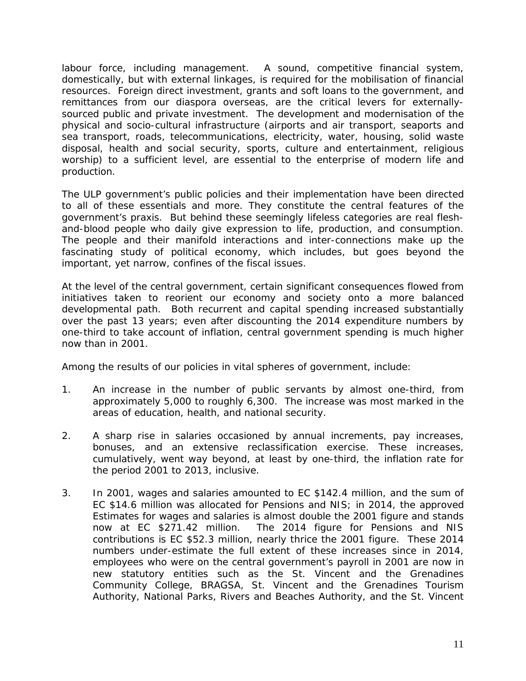labour force, including management. A sound, competitive financial system, domestically, but with external linkages, is required for the mobilisation of financial resources. Foreign direct investment, grants and soft loans to the government, and remittances from our diaspora overseas, are the critical levers for externallysourced public and private investment. The development and modernisation of the physical and socio-cultural infrastructure (airports and air transport, seaports and sea transport, roads, telecommunications, electricity, water, housing, solid waste disposal, health and social security, sports, culture and entertainment, religious worship) to a sufficient level, are essential to the enterprise of modern life and production.

The ULP government's public policies and their implementation have been directed to all of these essentials and more. They constitute the central features of the government's praxis. But behind these seemingly lifeless categories are real fleshand-blood people who daily give expression to life, production, and consumption. The people and their manifold interactions and inter-connections make up the fascinating study of political economy, which includes, but goes beyond the important, yet narrow, confines of the fiscal issues.

At the level of the central government, certain significant consequences flowed from initiatives taken to reorient our economy and society onto a more balanced developmental path. Both recurrent and capital spending increased substantially over the past 13 years; even after discounting the 2014 expenditure numbers by one-third to take account of inflation, central government spending is much higher now than in 2001.

Among the results of our policies in vital spheres of government, include:

- 1. An increase in the number of public servants by almost one-third, from approximately 5,000 to roughly 6,300. The increase was most marked in the areas of education, health, and national security.
- 2. A sharp rise in salaries occasioned by annual increments, pay increases, bonuses, and an extensive reclassification exercise. These increases, cumulatively, went way beyond, at least by one-third, the inflation rate for the period 2001 to 2013, inclusive.
- 3. In 2001, wages and salaries amounted to EC \$142.4 million, and the sum of EC \$14.6 million was allocated for Pensions and NIS; in 2014, the approved Estimates for wages and salaries is almost double the 2001 figure and stands now at EC \$271.42 million. The 2014 figure for Pensions and NIS The 2014 figure for Pensions and NIS contributions is EC \$52.3 million, nearly thrice the 2001 figure. These 2014 numbers under-estimate the full extent of these increases since in 2014, employees who were on the central government's payroll in 2001 are now in new statutory entities such as the St. Vincent and the Grenadines Community College, BRAGSA, St. Vincent and the Grenadines Tourism Authority, National Parks, Rivers and Beaches Authority, and the St. Vincent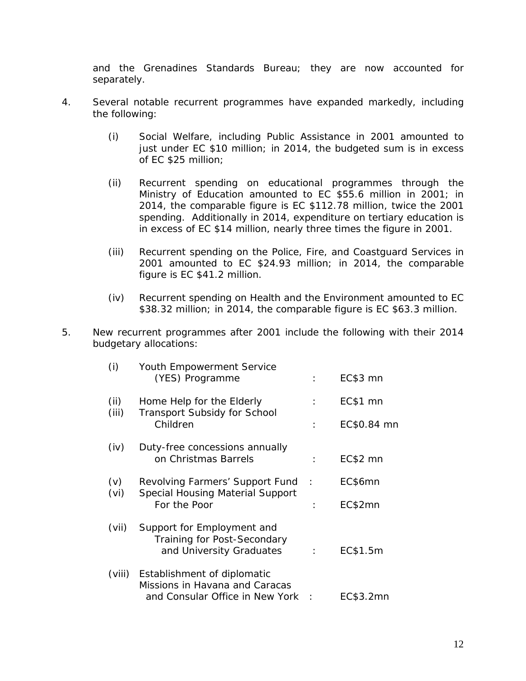and the Grenadines Standards Bureau; they are now accounted for separately.

- 4. Several notable recurrent programmes have expanded markedly, including the following:
	- (i) Social Welfare, including Public Assistance in 2001 amounted to just under EC \$10 million; in 2014, the budgeted sum is in excess of EC \$25 million;
	- (ii) Recurrent spending on educational programmes through the Ministry of Education amounted to EC \$55.6 million in 2001; in 2014, the comparable figure is EC \$112.78 million, twice the 2001 spending. Additionally in 2014, expenditure on tertiary education is in excess of EC \$14 million, nearly three times the figure in 2001.
	- (iii) Recurrent spending on the Police, Fire, and Coastguard Services in 2001 amounted to EC \$24.93 million; in 2014, the comparable figure is EC \$41.2 million.
	- (iv) Recurrent spending on Health and the Environment amounted to EC \$38.32 million; in 2014, the comparable figure is EC \$63.3 million.
- 5. New recurrent programmes after 2001 include the following with their 2014 budgetary allocations:

| (i)           | Youth Empowerment Service<br>(YES) Programme                                               | ÷             | EC\$3 mn    |
|---------------|--------------------------------------------------------------------------------------------|---------------|-------------|
| (ii)<br>(iii) | Home Help for the Elderly<br>Transport Subsidy for School<br>Children                      | $\mathcal{L}$ | EC\$1 mn    |
|               |                                                                                            | $\cdot$       | EC\$0.84 mn |
| (iv)          | Duty-free concessions annually<br>on Christmas Barrels                                     | ÷             | EC\$2 mn    |
| (v)<br>(vi)   | Revolving Farmers' Support Fund<br><b>Special Housing Material Support</b><br>For the Poor | $\cdot$ :     | EC\$6mn     |
|               |                                                                                            |               | EC\$2mn     |
| (vii)         | Support for Employment and<br>Training for Post-Secondary<br>and University Graduates      |               | EC\$1.5m    |
| (viii)        | Establishment of diplomatic<br>Missions in Havana and Caracas                              |               |             |
|               | and Consular Office in New York                                                            |               | EC\$3.2mn   |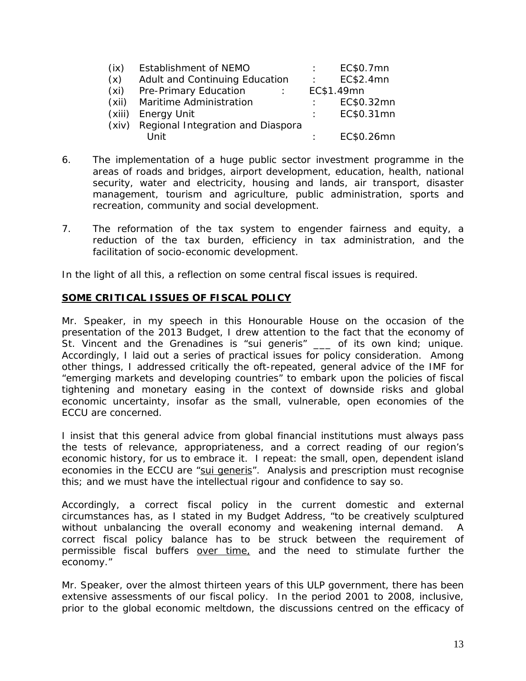| (ix)  | Establishment of NEMO                   | EC\$0.7mn  |
|-------|-----------------------------------------|------------|
| (x)   | Adult and Continuing Education          | EC\$2.4mn  |
| (xi)  | Pre-Primary Education                   | EC\$1.49mn |
| (xii) | Maritime Administration                 | EC\$0.32mn |
|       | (xiii) Energy Unit                      | EC\$0.31mn |
|       | (xiv) Regional Integration and Diaspora |            |
|       | l Init                                  | EC\$0.26mn |

- 6. The implementation of a huge public sector investment programme in the areas of roads and bridges, airport development, education, health, national security, water and electricity, housing and lands, air transport, disaster management, tourism and agriculture, public administration, sports and recreation, community and social development.
- 7. The reformation of the tax system to engender fairness and equity, a reduction of the tax burden, efficiency in tax administration, and the facilitation of socio-economic development.

In the light of all this, a reflection on some central fiscal issues is required.

# **SOME CRITICAL ISSUES OF FISCAL POLICY**

Mr. Speaker, in my speech in this Honourable House on the occasion of the presentation of the 2013 Budget, I drew attention to the fact that the economy of St. Vincent and the Grenadines is "sui generis" \_\_\_ of its own kind; unique. Accordingly, I laid out a series of practical issues for policy consideration. Among other things, I addressed critically the oft-repeated, general advice of the IMF for "*emerging markets and developing countries"* to embark upon the policies of fiscal tightening and monetary easing in the context of downside risks and global economic uncertainty, insofar as the small, vulnerable, open economies of the ECCU are concerned.

I insist that this general advice from global financial institutions must always pass the tests of relevance, appropriateness, and a correct reading of our region's economic history, for us to embrace it. I repeat: the small, open, dependent island economies in the ECCU are "sui generis". Analysis and prescription must recognise this; and we must have the intellectual rigour and confidence to say so.

Accordingly, a correct fiscal policy in the current domestic and external circumstances has, as I stated in my Budget Address, "to be creatively sculptured without unbalancing the overall economy and weakening internal demand. A correct fiscal policy balance has to be struck between the requirement of permissible fiscal buffers over time, and the need to stimulate further the economy."

Mr. Speaker, over the almost thirteen years of this ULP government, there has been extensive assessments of our fiscal policy. In the period 2001 to 2008, inclusive, prior to the global economic meltdown, the discussions centred on the efficacy of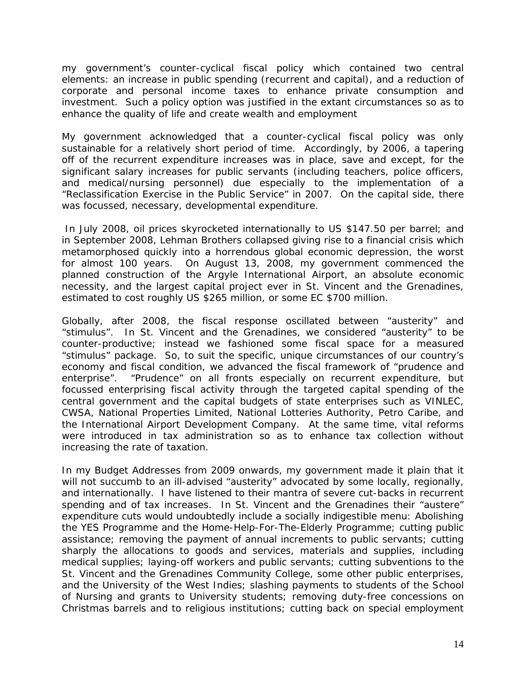my government's counter-cyclical fiscal policy which contained two central elements: an increase in public spending (recurrent and capital), and a reduction of corporate and personal income taxes to enhance private consumption and investment. Such a policy option was justified in the extant circumstances so as to enhance the quality of life and create wealth and employment

My government acknowledged that a counter-cyclical fiscal policy was only sustainable for a relatively short period of time. Accordingly, by 2006, a tapering off of the recurrent expenditure increases was in place, save and except, for the significant salary increases for public servants (including teachers, police officers, and medical/nursing personnel) due especially to the implementation of a "Reclassification Exercise in the Public Service" in 2007. On the capital side, there was focussed, necessary, developmental expenditure.

In July 2008, oil prices skyrocketed internationally to US \$147.50 per barrel; and in September 2008, Lehman Brothers collapsed giving rise to a financial crisis which metamorphosed quickly into a horrendous global economic depression, the worst for almost 100 years. On August 13, 2008, my government commenced the planned construction of the Argyle International Airport, an absolute economic necessity, and the largest capital project ever in St. Vincent and the Grenadines, estimated to cost roughly US \$265 million, or some EC \$700 million.

Globally, after 2008, the fiscal response oscillated between "austerity" and "stimulus". In St. Vincent and the Grenadines, we considered "austerity" to be counter-productive; instead we fashioned some fiscal space for a measured "stimulus" package. So, to suit the specific, unique circumstances of our country's economy and fiscal condition, we advanced the fiscal framework of "prudence and enterprise". "Prudence" on all fronts especially on recurrent expenditure, but focussed enterprising fiscal activity through the targeted capital spending of the central government and the capital budgets of state enterprises such as VINLEC, CWSA, National Properties Limited, National Lotteries Authority, Petro Caribe, and the International Airport Development Company. At the same time, vital reforms were introduced in tax administration so as to enhance tax collection without increasing the rate of taxation.

In my Budget Addresses from 2009 onwards, my government made it plain that it will not succumb to an ill-advised "austerity" advocated by some locally, regionally, and internationally. I have listened to their mantra of severe cut-backs in recurrent spending and of tax increases. In St. Vincent and the Grenadines their "austere" expenditure cuts would undoubtedly include a socially indigestible menu: Abolishing the YES Programme and the Home-Help-For-The-Elderly Programme; cutting public assistance; removing the payment of annual increments to public servants; cutting sharply the allocations to goods and services, materials and supplies, including medical supplies; laying-off workers and public servants; cutting subventions to the St. Vincent and the Grenadines Community College, some other public enterprises, and the University of the West Indies; slashing payments to students of the School of Nursing and grants to University students; removing duty-free concessions on Christmas barrels and to religious institutions; cutting back on special employment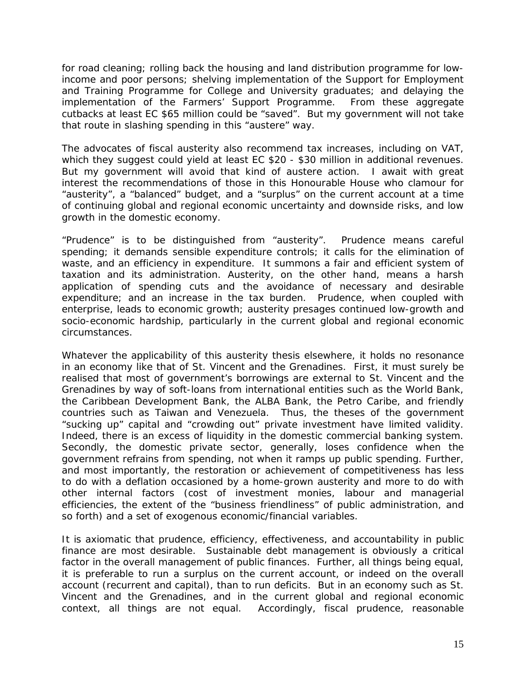for road cleaning; rolling back the housing and land distribution programme for lowincome and poor persons; shelving implementation of the Support for Employment and Training Programme for College and University graduates; and delaying the implementation of the Farmers' Support Programme. From these aggregate cutbacks at least EC \$65 million could be "saved". But my government will not take that route in slashing spending in this "austere" way.

The advocates of fiscal austerity also recommend tax increases, including on VAT, which they suggest could yield at least EC \$20 - \$30 million in additional revenues. But my government will avoid that kind of austere action. I await with great interest the recommendations of those in this Honourable House who clamour for "austerity", a "balanced" budget, and a "surplus" on the current account at a time of continuing global and regional economic uncertainty and downside risks, and low growth in the domestic economy.

"Prudence" is to be distinguished from "austerity". Prudence means careful spending; it demands sensible expenditure controls; it calls for the elimination of waste, and an efficiency in expenditure. It summons a fair and efficient system of taxation and its administration. Austerity, on the other hand, means a harsh application of spending cuts and the avoidance of necessary and desirable expenditure; and an increase in the tax burden. Prudence, when coupled with enterprise, leads to economic growth; austerity presages continued low-growth and socio-economic hardship, particularly in the current global and regional economic circumstances.

Whatever the applicability of this austerity thesis elsewhere, it holds no resonance in an economy like that of St. Vincent and the Grenadines. First, it must surely be realised that most of government's borrowings are external to St. Vincent and the Grenadines by way of soft-loans from international entities such as the World Bank, the Caribbean Development Bank, the ALBA Bank, the Petro Caribe, and friendly countries such as Taiwan and Venezuela. Thus, the theses of the government "sucking up" capital and "crowding out" private investment have limited validity. Indeed, there is an excess of liquidity in the domestic commercial banking system. Secondly, the domestic private sector, generally, loses confidence when the government refrains from spending, not when it ramps up public spending. Further, and most importantly, the restoration or achievement of competitiveness has less to do with a deflation occasioned by a home-grown austerity and more to do with other internal factors (cost of investment monies, labour and managerial efficiencies, the extent of the "business friendliness" of public administration, and so forth) and a set of exogenous economic/financial variables.

It is axiomatic that prudence, efficiency, effectiveness, and accountability in public finance are most desirable. Sustainable debt management is obviously a critical factor in the overall management of public finances. Further, all things being equal, it is preferable to run a surplus on the current account, or indeed on the overall account (recurrent and capital), than to run deficits. But in an economy such as St. Vincent and the Grenadines, and in the current global and regional economic context, all things are not equal. Accordingly, fiscal prudence, reasonable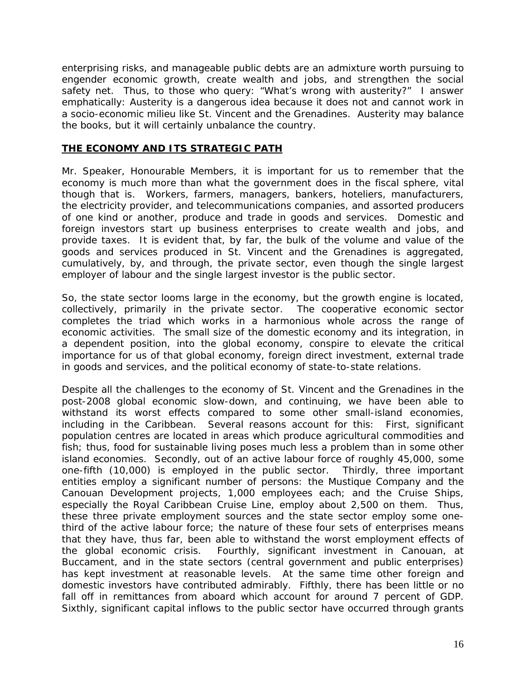enterprising risks, and manageable public debts are an admixture worth pursuing to engender economic growth, create wealth and jobs, and strengthen the social safety net. Thus, to those who query: "What's wrong with austerity?" I answer emphatically: Austerity is a dangerous idea because it does not and cannot work in a socio-economic milieu like St. Vincent and the Grenadines. Austerity may balance the books, but it will certainly unbalance the country.

## **THE ECONOMY AND ITS STRATEGIC PATH**

Mr. Speaker, Honourable Members, it is important for us to remember that the economy is much more than what the government does in the fiscal sphere, vital though that is. Workers, farmers, managers, bankers, hoteliers, manufacturers, the electricity provider, and telecommunications companies, and assorted producers of one kind or another, produce and trade in goods and services. Domestic and foreign investors start up business enterprises to create wealth and jobs, and provide taxes. It is evident that, by far, the bulk of the volume and value of the goods and services produced in St. Vincent and the Grenadines is aggregated, cumulatively, by, and through, the private sector, even though the single largest employer of labour and the single largest investor is the public sector.

So, the state sector looms large in the economy, but the growth engine is located, collectively, primarily in the private sector. The cooperative economic sector completes the triad which works in a harmonious whole across the range of economic activities. The small size of the domestic economy and its integration, in a dependent position, into the global economy, conspire to elevate the critical importance for us of that global economy, foreign direct investment, external trade in goods and services, and the political economy of state-to-state relations.

Despite all the challenges to the economy of St. Vincent and the Grenadines in the post-2008 global economic slow-down, and continuing, we have been able to withstand its worst effects compared to some other small-island economies, including in the Caribbean. Several reasons account for this: First, significant population centres are located in areas which produce agricultural commodities and fish; thus, food for sustainable living poses much less a problem than in some other island economies. Secondly, out of an active labour force of roughly 45,000, some one-fifth (10,000) is employed in the public sector. Thirdly, three important entities employ a significant number of persons: the Mustique Company and the Canouan Development projects, 1,000 employees each; and the Cruise Ships, especially the Royal Caribbean Cruise Line, employ about 2,500 on them. Thus, these three private employment sources and the state sector employ some onethird of the active labour force; the nature of these four sets of enterprises means that they have, thus far, been able to withstand the worst employment effects of the global economic crisis. Fourthly, significant investment in Canouan, at Buccament, and in the state sectors (central government and public enterprises) has kept investment at reasonable levels. At the same time other foreign and domestic investors have contributed admirably. Fifthly, there has been little or no fall off in remittances from aboard which account for around 7 percent of GDP. Sixthly, significant capital inflows to the public sector have occurred through grants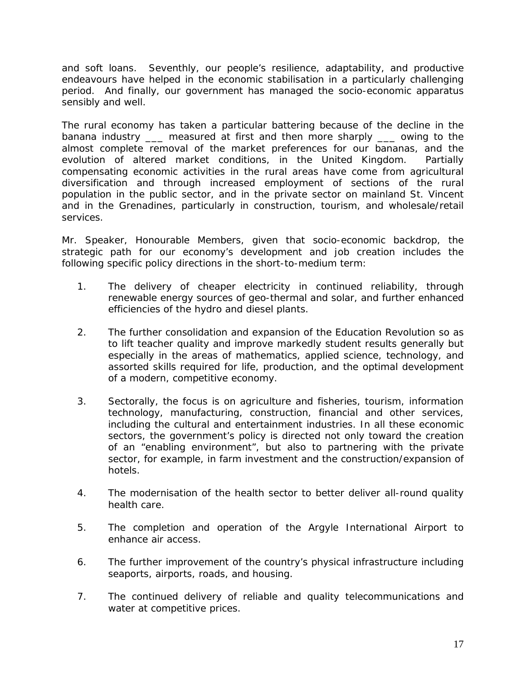and soft loans. Seventhly, our people's resilience, adaptability, and productive endeavours have helped in the economic stabilisation in a particularly challenging period. And finally, our government has managed the socio-economic apparatus sensibly and well.

The rural economy has taken a particular battering because of the decline in the banana industry \_\_\_ measured at first and then more sharply \_\_\_ owing to the almost complete removal of the market preferences for our bananas, and the evolution of altered market conditions, in the United Kingdom. Partially compensating economic activities in the rural areas have come from agricultural diversification and through increased employment of sections of the rural population in the public sector, and in the private sector on mainland St. Vincent and in the Grenadines, particularly in construction, tourism, and wholesale/retail services.

Mr. Speaker, Honourable Members, given that socio-economic backdrop, the strategic path for our economy's development and job creation includes the following specific policy directions in the short-to-medium term:

- 1. The delivery of cheaper electricity in continued reliability, through renewable energy sources of geo-thermal and solar, and further enhanced efficiencies of the hydro and diesel plants.
- 2. The further consolidation and expansion of the Education Revolution so as to lift teacher quality and improve markedly student results generally but especially in the areas of mathematics, applied science, technology, and assorted skills required for life, production, and the optimal development of a modern, competitive economy.
- 3. Sectorally, the focus is on agriculture and fisheries, tourism, information technology, manufacturing, construction, financial and other services, including the cultural and entertainment industries. In all these economic sectors, the government's policy is directed not only toward the creation of an "enabling environment", but also to partnering with the private sector, for example, in farm investment and the construction/expansion of hotels.
- 4. The modernisation of the health sector to better deliver all-round quality health care.
- 5. The completion and operation of the Argyle International Airport to enhance air access.
- 6. The further improvement of the country's physical infrastructure including seaports, airports, roads, and housing.
- 7. The continued delivery of reliable and quality telecommunications and water at competitive prices.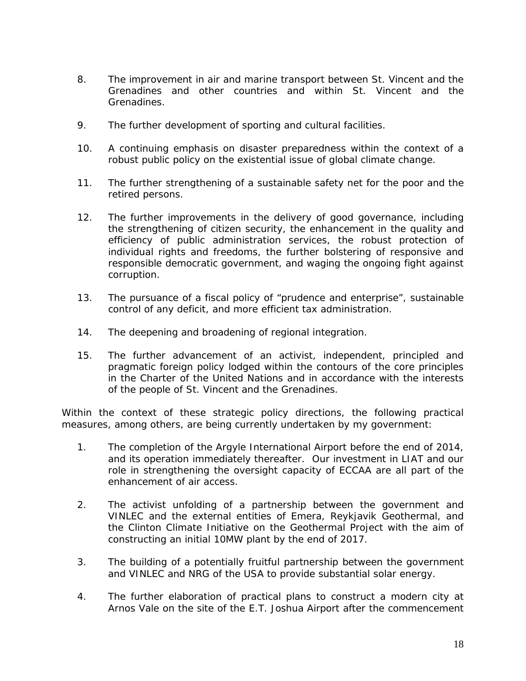- 8. The improvement in air and marine transport between St. Vincent and the Grenadines and other countries and within St. Vincent and the Grenadines.
- 9. The further development of sporting and cultural facilities.
- 10. A continuing emphasis on disaster preparedness within the context of a robust public policy on the existential issue of global climate change.
- 11. The further strengthening of a sustainable safety net for the poor and the retired persons.
- 12. The further improvements in the delivery of good governance, including the strengthening of citizen security, the enhancement in the quality and efficiency of public administration services, the robust protection of individual rights and freedoms, the further bolstering of responsive and responsible democratic government, and waging the ongoing fight against corruption.
- 13. The pursuance of a fiscal policy of "prudence and enterprise", sustainable control of any deficit, and more efficient tax administration.
- 14. The deepening and broadening of regional integration.
- 15. The further advancement of an activist, independent, principled and pragmatic foreign policy lodged within the contours of the core principles in the Charter of the United Nations and in accordance with the interests of the people of St. Vincent and the Grenadines.

Within the context of these strategic policy directions, the following practical measures, among others, are being currently undertaken by my government:

- 1. The completion of the Argyle International Airport before the end of 2014, and its operation immediately thereafter. Our investment in LIAT and our role in strengthening the oversight capacity of ECCAA are all part of the enhancement of air access.
- 2. The activist unfolding of a partnership between the government and VINLEC and the external entities of Emera, Reykjavik Geothermal, and the Clinton Climate Initiative on the Geothermal Project with the aim of constructing an initial 10MW plant by the end of 2017.
- 3. The building of a potentially fruitful partnership between the government and VINLEC and NRG of the USA to provide substantial solar energy.
- 4. The further elaboration of practical plans to construct a modern city at Arnos Vale on the site of the E.T. Joshua Airport after the commencement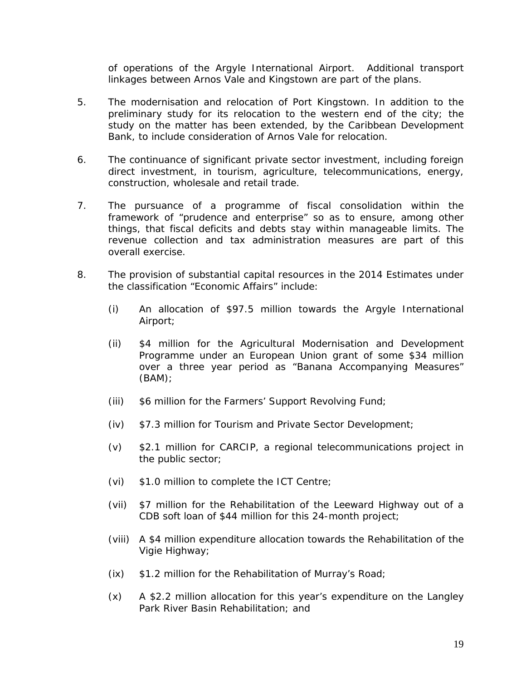of operations of the Argyle International Airport. Additional transport linkages between Arnos Vale and Kingstown are part of the plans.

- 5. The modernisation and relocation of Port Kingstown. In addition to the preliminary study for its relocation to the western end of the city; the study on the matter has been extended, by the Caribbean Development Bank, to include consideration of Arnos Vale for relocation.
- 6. The continuance of significant private sector investment, including foreign direct investment, in tourism, agriculture, telecommunications, energy, construction, wholesale and retail trade.
- 7. The pursuance of a programme of fiscal consolidation within the framework of "prudence and enterprise" so as to ensure, among other things, that fiscal deficits and debts stay within manageable limits. The revenue collection and tax administration measures are part of this overall exercise.
- 8. The provision of substantial capital resources in the 2014 Estimates under the classification "Economic Affairs" include:
	- (i) An allocation of \$97.5 million towards the Argyle International Airport;
	- (ii) \$4 million for the Agricultural Modernisation and Development Programme under an European Union grant of some \$34 million over a three year period as "Banana Accompanying Measures" (BAM);
	- (iii) \$6 million for the Farmers' Support Revolving Fund;
	- (iv) \$7.3 million for Tourism and Private Sector Development;
	- (v) \$2.1 million for CARCIP, a regional telecommunications project in the public sector;
	- (vi) \$1.0 million to complete the ICT Centre;
	- (vii) \$7 million for the Rehabilitation of the Leeward Highway out of a CDB soft loan of \$44 million for this 24-month project;
	- (viii) A \$4 million expenditure allocation towards the Rehabilitation of the Vigie Highway;
	- (ix) \$1.2 million for the Rehabilitation of Murray's Road;
	- (x) A \$2.2 million allocation for this year's expenditure on the Langley Park River Basin Rehabilitation; and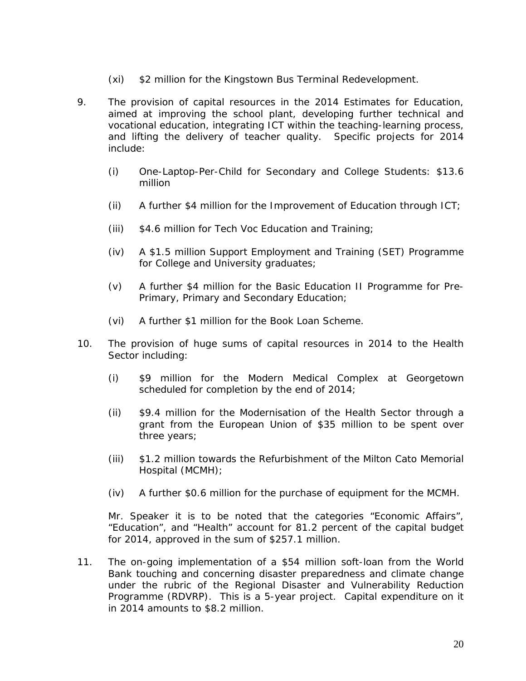- (xi) \$2 million for the Kingstown Bus Terminal Redevelopment.
- 9. The provision of capital resources in the 2014 Estimates for Education, aimed at improving the school plant, developing further technical and vocational education, integrating ICT within the teaching-learning process, and lifting the delivery of teacher quality. Specific projects for 2014 include:
	- (i) One-Laptop-Per-Child for Secondary and College Students: \$13.6 million
	- (ii) A further  $$4$  million for the Improvement of Education through ICT;
	- (iii) \$4.6 million for Tech Voc Education and Training;
	- (iv) A \$1.5 million Support Employment and Training (SET) Programme for College and University graduates;
	- (v) A further \$4 million for the Basic Education II Programme for Pre-Primary, Primary and Secondary Education;
	- (vi) A further \$1 million for the Book Loan Scheme.
- 10. The provision of huge sums of capital resources in 2014 to the Health Sector including:
	- (i) \$9 million for the Modern Medical Complex at Georgetown scheduled for completion by the end of 2014;
	- (ii) \$9.4 million for the Modernisation of the Health Sector through a grant from the European Union of \$35 million to be spent over three years;
	- (iii) \$1.2 million towards the Refurbishment of the Milton Cato Memorial Hospital (MCMH);
	- (iv) A further \$0.6 million for the purchase of equipment for the MCMH.

Mr. Speaker it is to be noted that the categories "Economic Affairs", "Education", and "Health" account for 81.2 percent of the capital budget for 2014, approved in the sum of \$257.1 million.

11. The on-going implementation of a \$54 million soft-loan from the World Bank touching and concerning disaster preparedness and climate change under the rubric of the Regional Disaster and Vulnerability Reduction Programme (RDVRP). This is a 5-year project. Capital expenditure on it in 2014 amounts to \$8.2 million.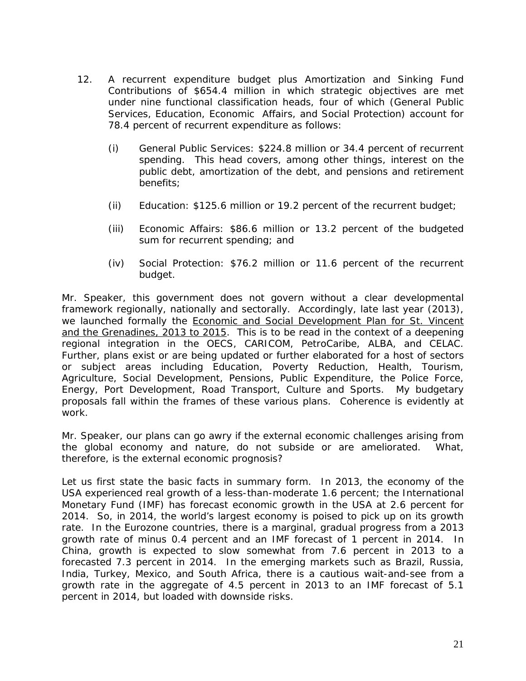- 12. A recurrent expenditure budget plus Amortization and Sinking Fund Contributions of \$654.4 million in which strategic objectives are met under nine functional classification heads, four of which (General Public Services, Education, Economic Affairs, and Social Protection) account for 78.4 percent of recurrent expenditure as follows:
	- (i) General Public Services: \$224.8 million or 34.4 percent of recurrent spending. This head covers, among other things, interest on the public debt, amortization of the debt, and pensions and retirement benefits;
	- (ii) Education: \$125.6 million or 19.2 percent of the recurrent budget;
	- (iii) Economic Affairs: \$86.6 million or 13.2 percent of the budgeted sum for recurrent spending; and
	- (iv) Social Protection: \$76.2 million or 11.6 percent of the recurrent budget.

Mr. Speaker, this government does not govern without a clear developmental framework regionally, nationally and sectorally. Accordingly, late last year (2013), we launched formally the Economic and Social Development Plan for St. Vincent and the Grenadines, 2013 to 2015. This is to be read in the context of a deepening regional integration in the OECS, CARICOM, PetroCaribe, ALBA, and CELAC. Further, plans exist or are being updated or further elaborated for a host of sectors or subject areas including Education, Poverty Reduction, Health, Tourism, Agriculture, Social Development, Pensions, Public Expenditure, the Police Force, Energy, Port Development, Road Transport, Culture and Sports. My budgetary proposals fall within the frames of these various plans. Coherence is evidently at work.

Mr. Speaker, our plans can go awry if the external economic challenges arising from the global economy and nature, do not subside or are ameliorated. What, therefore, is the external economic prognosis?

Let us first state the basic facts in summary form. In 2013, the economy of the USA experienced real growth of a less-than-moderate 1.6 percent; the International Monetary Fund (IMF) has forecast economic growth in the USA at 2.6 percent for 2014. So, in 2014, the world's largest economy is poised to pick up on its growth rate. In the Eurozone countries, there is a marginal, gradual progress from a 2013 growth rate of minus 0.4 percent and an IMF forecast of 1 percent in 2014. In China, growth is expected to slow somewhat from 7.6 percent in 2013 to a forecasted 7.3 percent in 2014. In the emerging markets such as Brazil, Russia, India, Turkey, Mexico, and South Africa, there is a cautious wait-and-see from a growth rate in the aggregate of 4.5 percent in 2013 to an IMF forecast of 5.1 percent in 2014, but loaded with downside risks.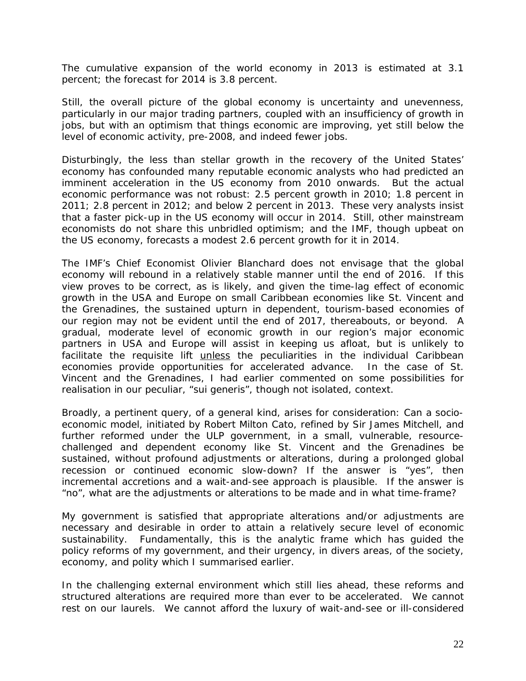The cumulative expansion of the world economy in 2013 is estimated at 3.1 percent; the forecast for 2014 is 3.8 percent.

Still, the overall picture of the global economy is uncertainty and unevenness, particularly in our major trading partners, coupled with an insufficiency of growth in jobs, but with an optimism that things economic are improving, yet still below the level of economic activity, pre-2008, and indeed fewer jobs.

Disturbingly, the less than stellar growth in the recovery of the United States' economy has confounded many reputable economic analysts who had predicted an imminent acceleration in the US economy from 2010 onwards. But the actual economic performance was not robust: 2.5 percent growth in 2010; 1.8 percent in 2011; 2.8 percent in 2012; and below 2 percent in 2013. These very analysts insist that a faster pick-up in the US economy will occur in 2014. Still, other mainstream economists do not share this unbridled optimism; and the IMF, though upbeat on the US economy, forecasts a modest 2.6 percent growth for it in 2014.

The IMF's Chief Economist Olivier Blanchard does not envisage that the global economy will rebound in a relatively stable manner until the end of 2016. If this view proves to be correct, as is likely, and given the time-lag effect of economic growth in the USA and Europe on small Caribbean economies like St. Vincent and the Grenadines, the sustained upturn in dependent, tourism-based economies of our region may not be evident until the end of 2017, thereabouts, or beyond. A gradual, moderate level of economic growth in our region's major economic partners in USA and Europe will assist in keeping us afloat, but is unlikely to facilitate the requisite lift unless the peculiarities in the individual Caribbean economies provide opportunities for accelerated advance. In the case of St. Vincent and the Grenadines, I had earlier commented on some possibilities for realisation in our peculiar, "sui generis", though not isolated, context.

Broadly, a pertinent query, of a general kind, arises for consideration: Can a socioeconomic model, initiated by Robert Milton Cato, refined by Sir James Mitchell, and further reformed under the ULP government, in a small, vulnerable, resourcechallenged and dependent economy like St. Vincent and the Grenadines be sustained, without profound adjustments or alterations, during a prolonged global recession or continued economic slow-down? If the answer is "yes", then incremental accretions and a wait-and-see approach is plausible. If the answer is "no", what are the adjustments or alterations to be made and in what time-frame?

My government is satisfied that appropriate alterations and/or adjustments are necessary and desirable in order to attain a relatively secure level of economic sustainability. Fundamentally, this is the analytic frame which has guided the policy reforms of my government, and their urgency, in divers areas, of the society, economy, and polity which I summarised earlier.

In the challenging external environment which still lies ahead, these reforms and structured alterations are required more than ever to be accelerated. We cannot rest on our laurels. We cannot afford the luxury of wait-and-see or ill-considered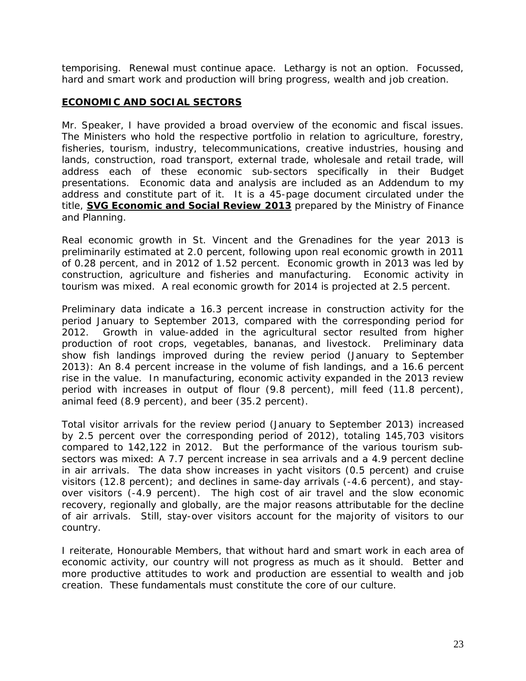temporising. Renewal must continue apace. Lethargy is not an option. Focussed, hard and smart work and production will bring progress, wealth and job creation.

#### **ECONOMIC AND SOCIAL SECTORS**

Mr. Speaker, I have provided a broad overview of the economic and fiscal issues. The Ministers who hold the respective portfolio in relation to agriculture, forestry, fisheries, tourism, industry, telecommunications, creative industries, housing and lands, construction, road transport, external trade, wholesale and retail trade, will address each of these economic sub-sectors specifically in their Budget presentations. Economic data and analysis are included as an Addendum to my address and constitute part of it. It is a 45-page document circulated under the title, **SVG Economic and Social Review 2013** prepared by the Ministry of Finance and Planning.

Real economic growth in St. Vincent and the Grenadines for the year 2013 is preliminarily estimated at 2.0 percent, following upon real economic growth in 2011 of 0.28 percent, and in 2012 of 1.52 percent. Economic growth in 2013 was led by construction, agriculture and fisheries and manufacturing. Economic activity in tourism was mixed. A real economic growth for 2014 is projected at 2.5 percent.

Preliminary data indicate a 16.3 percent increase in construction activity for the period January to September 2013, compared with the corresponding period for 2012. Growth in value-added in the agricultural sector resulted from higher production of root crops, vegetables, bananas, and livestock. Preliminary data show fish landings improved during the review period (January to September 2013): An 8.4 percent increase in the volume of fish landings, and a 16.6 percent rise in the value. In manufacturing, economic activity expanded in the 2013 review period with increases in output of flour (9.8 percent), mill feed (11.8 percent), animal feed (8.9 percent), and beer (35.2 percent).

Total visitor arrivals for the review period (January to September 2013) increased by 2.5 percent over the corresponding period of 2012), totaling 145,703 visitors compared to 142,122 in 2012. But the performance of the various tourism subsectors was mixed: A 7.7 percent increase in sea arrivals and a 4.9 percent decline in air arrivals. The data show increases in yacht visitors (0.5 percent) and cruise visitors (12.8 percent); and declines in same-day arrivals (-4.6 percent), and stayover visitors (-4.9 percent). The high cost of air travel and the slow economic recovery, regionally and globally, are the major reasons attributable for the decline of air arrivals. Still, stay-over visitors account for the majority of visitors to our country.

I reiterate, Honourable Members, that without hard and smart work in each area of economic activity, our country will not progress as much as it should. Better and more productive attitudes to work and production are essential to wealth and job creation. These fundamentals must constitute the core of our culture.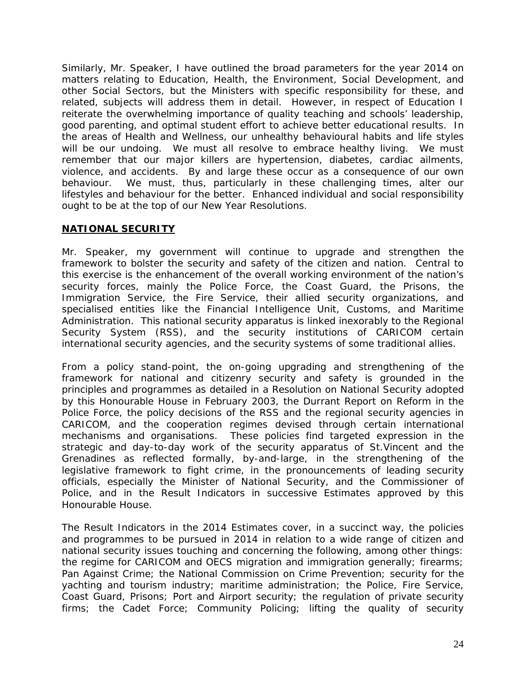Similarly, Mr. Speaker, I have outlined the broad parameters for the year 2014 on matters relating to Education, Health, the Environment, Social Development, and other Social Sectors, but the Ministers with specific responsibility for these, and related, subjects will address them in detail. However, in respect of Education I reiterate the overwhelming importance of quality teaching and schools' leadership, good parenting, and optimal student effort to achieve better educational results. In the areas of Health and Wellness, our unhealthy behavioural habits and life styles will be our undoing. We must all resolve to embrace healthy living. We must remember that our major killers are hypertension, diabetes, cardiac ailments, violence, and accidents. By and large these occur as a consequence of our own behaviour. We must, thus, particularly in these challenging times, alter our lifestyles and behaviour for the better. Enhanced individual and social responsibility ought to be at the top of our New Year Resolutions.

## **NATIONAL SECURITY**

Mr. Speaker, my government will continue to upgrade and strengthen the framework to bolster the security and safety of the citizen and nation. Central to this exercise is the enhancement of the overall working environment of the nation's security forces, mainly the Police Force, the Coast Guard, the Prisons, the Immigration Service, the Fire Service, their allied security organizations, and specialised entities like the Financial Intelligence Unit, Customs, and Maritime Administration. This national security apparatus is linked inexorably to the Regional Security System (RSS), and the security institutions of CARICOM certain international security agencies, and the security systems of some traditional allies.

From a policy stand-point, the on-going upgrading and strengthening of the framework for national and citizenry security and safety is grounded in the principles and programmes as detailed in a Resolution on National Security adopted by this Honourable House in February 2003, the Durrant Report on Reform in the Police Force, the policy decisions of the RSS and the regional security agencies in CARICOM, and the cooperation regimes devised through certain international mechanisms and organisations. These policies find targeted expression in the strategic and day-to-day work of the security apparatus of St.Vincent and the Grenadines as reflected formally, by-and-large, in the strengthening of the legislative framework to fight crime, in the pronouncements of leading security officials, especially the Minister of National Security, and the Commissioner of Police, and in the Result Indicators in successive Estimates approved by this Honourable House.

The Result Indicators in the 2014 Estimates cover, in a succinct way, the policies and programmes to be pursued in 2014 in relation to a wide range of citizen and national security issues touching and concerning the following, among other things: the regime for CARICOM and OECS migration and immigration generally; firearms; Pan Against Crime; the National Commission on Crime Prevention; security for the yachting and tourism industry; maritime administration; the Police, Fire Service, Coast Guard, Prisons; Port and Airport security; the regulation of private security firms; the Cadet Force; Community Policing; lifting the quality of security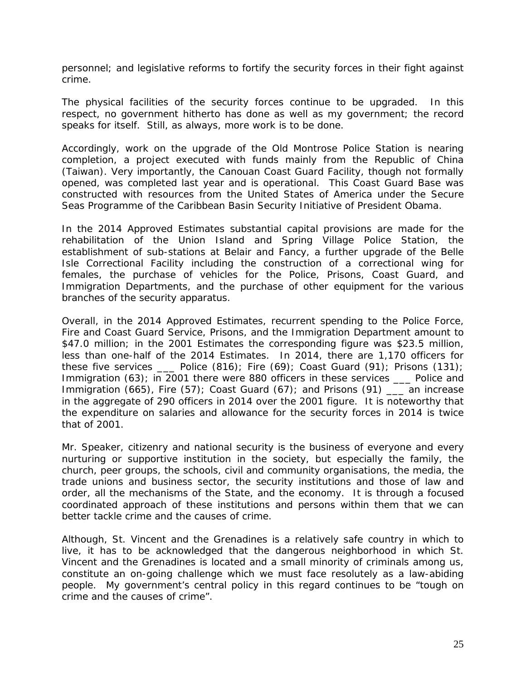personnel; and legislative reforms to fortify the security forces in their fight against crime.

The physical facilities of the security forces continue to be upgraded. In this respect, no government hitherto has done as well as my government; the record speaks for itself. Still, as always, more work is to be done.

Accordingly, work on the upgrade of the Old Montrose Police Station is nearing completion, a project executed with funds mainly from the Republic of China (Taiwan). Very importantly, the Canouan Coast Guard Facility, though not formally opened, was completed last year and is operational. This Coast Guard Base was constructed with resources from the United States of America under the Secure Seas Programme of the Caribbean Basin Security Initiative of President Obama.

In the 2014 Approved Estimates substantial capital provisions are made for the rehabilitation of the Union Island and Spring Village Police Station, the establishment of sub-stations at Belair and Fancy, a further upgrade of the Belle Isle Correctional Facility including the construction of a correctional wing for females, the purchase of vehicles for the Police, Prisons, Coast Guard, and Immigration Departments, and the purchase of other equipment for the various branches of the security apparatus.

Overall, in the 2014 Approved Estimates, recurrent spending to the Police Force, Fire and Coast Guard Service, Prisons, and the Immigration Department amount to \$47.0 million; in the 2001 Estimates the corresponding figure was \$23.5 million, less than one-half of the 2014 Estimates. In 2014, there are 1,170 officers for these five services  $\quad$  Police (816); Fire (69); Coast Guard (91); Prisons (131); Immigration (63); in 2001 there were 880 officers in these services \_\_\_ Police and Immigration (665), Fire (57); Coast Guard (67); and Prisons (91) \_\_\_ an increase in the aggregate of 290 officers in 2014 over the 2001 figure. It is noteworthy that the expenditure on salaries and allowance for the security forces in 2014 is twice that of 2001.

Mr. Speaker, citizenry and national security is the business of everyone and every nurturing or supportive institution in the society, but especially the family, the church, peer groups, the schools, civil and community organisations, the media, the trade unions and business sector, the security institutions and those of law and order, all the mechanisms of the State, and the economy. It is through a focused coordinated approach of these institutions and persons within them that we can better tackle crime and the causes of crime.

Although, St. Vincent and the Grenadines is a relatively safe country in which to live, it has to be acknowledged that the dangerous neighborhood in which St. Vincent and the Grenadines is located and a small minority of criminals among us, constitute an on-going challenge which we must face resolutely as a law-abiding people. My government's central policy in this regard continues to be "tough on crime and the causes of crime".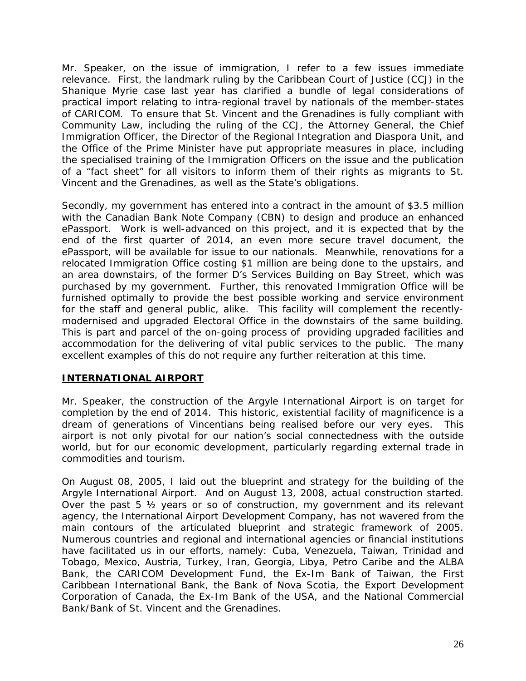Mr. Speaker, on the issue of immigration, I refer to a few issues immediate relevance. First, the landmark ruling by the Caribbean Court of Justice (CCJ) in the Shanique Myrie case last year has clarified a bundle of legal considerations of practical import relating to intra-regional travel by nationals of the member-states of CARICOM. To ensure that St. Vincent and the Grenadines is fully compliant with Community Law, including the ruling of the CCJ, the Attorney General, the Chief Immigration Officer, the Director of the Regional Integration and Diaspora Unit, and the Office of the Prime Minister have put appropriate measures in place, including the specialised training of the Immigration Officers on the issue and the publication of a "fact sheet" for all visitors to inform them of their rights as migrants to St. Vincent and the Grenadines, as well as the State's obligations.

Secondly, my government has entered into a contract in the amount of \$3.5 million with the Canadian Bank Note Company (CBN) to design and produce an enhanced ePassport. Work is well-advanced on this project, and it is expected that by the end of the first quarter of 2014, an even more secure travel document, the ePassport, will be available for issue to our nationals. Meanwhile, renovations for a relocated Immigration Office costing \$1 million are being done to the upstairs, and an area downstairs, of the former D's Services Building on Bay Street, which was purchased by my government. Further, this renovated Immigration Office will be furnished optimally to provide the best possible working and service environment for the staff and general public, alike. This facility will complement the recentlymodernised and upgraded Electoral Office in the downstairs of the same building. This is part and parcel of the on-going process of providing upgraded facilities and accommodation for the delivering of vital public services to the public. The many excellent examples of this do not require any further reiteration at this time.

# **INTERNATIONAL AIRPORT**

Mr. Speaker, the construction of the Argyle International Airport is on target for completion by the end of 2014. This historic, existential facility of magnificence is a dream of generations of Vincentians being realised before our very eyes. This airport is not only pivotal for our nation's social connectedness with the outside world, but for our economic development, particularly regarding external trade in commodities and tourism.

On August 08, 2005, I laid out the blueprint and strategy for the building of the Argyle International Airport. And on August 13, 2008, actual construction started. Over the past 5 ½ years or so of construction, my government and its relevant agency, the International Airport Development Company, has not wavered from the main contours of the articulated blueprint and strategic framework of 2005. Numerous countries and regional and international agencies or financial institutions have facilitated us in our efforts, namely: Cuba, Venezuela, Taiwan, Trinidad and Tobago, Mexico, Austria, Turkey, Iran, Georgia, Libya, Petro Caribe and the ALBA Bank, the CARICOM Development Fund, the Ex-Im Bank of Taiwan, the First Caribbean International Bank, the Bank of Nova Scotia, the Export Development Corporation of Canada, the Ex-Im Bank of the USA, and the National Commercial Bank/Bank of St. Vincent and the Grenadines.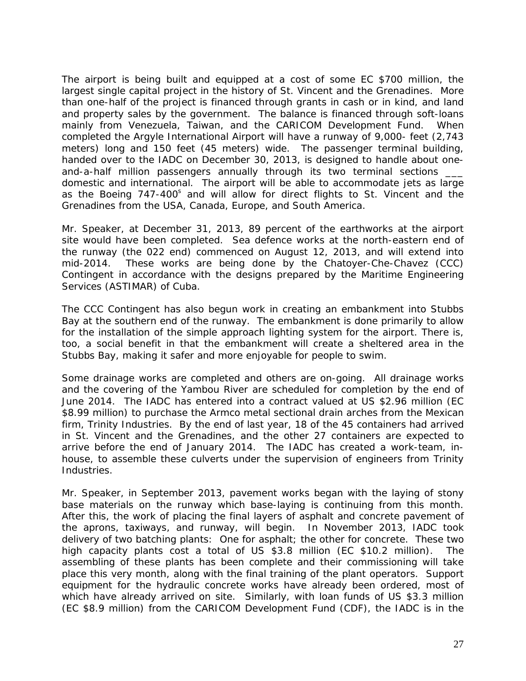The airport is being built and equipped at a cost of some EC \$700 million, the largest single capital project in the history of St. Vincent and the Grenadines. More than one-half of the project is financed through grants in cash or in kind, and land and property sales by the government. The balance is financed through soft-loans mainly from Venezuela, Taiwan, and the CARICOM Development Fund. When completed the Argyle International Airport will have a runway of 9,000- feet (2,743 meters) long and 150 feet (45 meters) wide. The passenger terminal building, handed over to the IADC on December 30, 2013, is designed to handle about oneand-a-half million passengers annually through its two terminal sections domestic and international. The airport will be able to accommodate jets as large as the Boeing 747-400<sup>s</sup> and will allow for direct flights to St. Vincent and the Grenadines from the USA, Canada, Europe, and South America.

Mr. Speaker, at December 31, 2013, 89 percent of the earthworks at the airport site would have been completed. Sea defence works at the north-eastern end of the runway (the 022 end) commenced on August 12, 2013, and will extend into mid-2014. These works are being done by the Chatoyer-Che-Chavez (CCC) Contingent in accordance with the designs prepared by the Maritime Engineering Services (ASTIMAR) of Cuba.

The CCC Contingent has also begun work in creating an embankment into Stubbs Bay at the southern end of the runway. The embankment is done primarily to allow for the installation of the simple approach lighting system for the airport. There is, too, a social benefit in that the embankment will create a sheltered area in the Stubbs Bay, making it safer and more enjoyable for people to swim.

Some drainage works are completed and others are on-going. All drainage works and the covering of the Yambou River are scheduled for completion by the end of June 2014. The IADC has entered into a contract valued at US \$2.96 million (EC \$8.99 million) to purchase the Armco metal sectional drain arches from the Mexican firm, Trinity Industries. By the end of last year, 18 of the 45 containers had arrived in St. Vincent and the Grenadines, and the other 27 containers are expected to arrive before the end of January 2014. The IADC has created a work-team, inhouse, to assemble these culverts under the supervision of engineers from Trinity **Industries.** 

Mr. Speaker, in September 2013, pavement works began with the laying of stony base materials on the runway which base-laying is continuing from this month. After this, the work of placing the final layers of asphalt and concrete pavement of the aprons, taxiways, and runway, will begin. In November 2013, IADC took delivery of two batching plants: One for asphalt; the other for concrete. These two high capacity plants cost a total of US \$3.8 million (EC \$10.2 million). The assembling of these plants has been complete and their commissioning will take place this very month, along with the final training of the plant operators. Support equipment for the hydraulic concrete works have already been ordered, most of which have already arrived on site. Similarly, with loan funds of US \$3.3 million (EC \$8.9 million) from the CARICOM Development Fund (CDF), the IADC is in the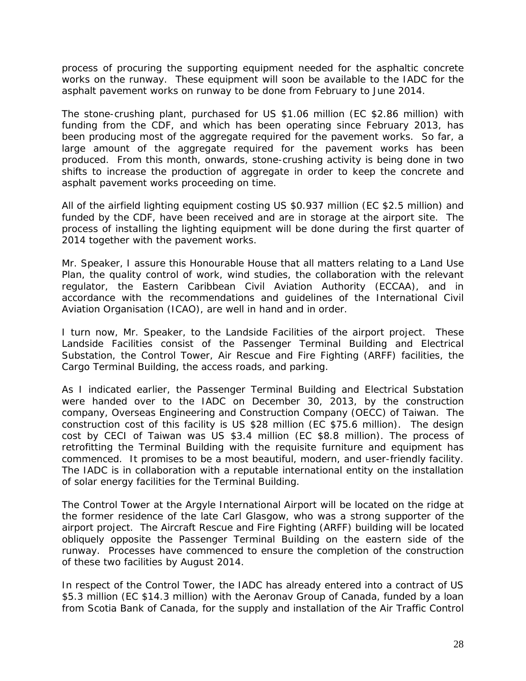process of procuring the supporting equipment needed for the asphaltic concrete works on the runway. These equipment will soon be available to the IADC for the asphalt pavement works on runway to be done from February to June 2014.

The stone-crushing plant, purchased for US \$1.06 million (EC \$2.86 million) with funding from the CDF, and which has been operating since February 2013, has been producing most of the aggregate required for the pavement works. So far, a large amount of the aggregate required for the pavement works has been produced. From this month, onwards, stone-crushing activity is being done in two shifts to increase the production of aggregate in order to keep the concrete and asphalt pavement works proceeding on time.

All of the airfield lighting equipment costing US \$0.937 million (EC \$2.5 million) and funded by the CDF, have been received and are in storage at the airport site. The process of installing the lighting equipment will be done during the first quarter of 2014 together with the pavement works.

Mr. Speaker, I assure this Honourable House that all matters relating to a Land Use Plan, the quality control of work, wind studies, the collaboration with the relevant regulator, the Eastern Caribbean Civil Aviation Authority (ECCAA), and in accordance with the recommendations and guidelines of the International Civil Aviation Organisation (ICAO), are well in hand and in order.

I turn now, Mr. Speaker, to the Landside Facilities of the airport project. These Landside Facilities consist of the Passenger Terminal Building and Electrical Substation, the Control Tower, Air Rescue and Fire Fighting (ARFF) facilities, the Cargo Terminal Building, the access roads, and parking.

As I indicated earlier, the Passenger Terminal Building and Electrical Substation were handed over to the IADC on December 30, 2013, by the construction company, Overseas Engineering and Construction Company (OECC) of Taiwan. The construction cost of this facility is US \$28 million (EC \$75.6 million). The design cost by CECI of Taiwan was US \$3.4 million (EC \$8.8 million). The process of retrofitting the Terminal Building with the requisite furniture and equipment has commenced. It promises to be a most beautiful, modern, and user-friendly facility. The IADC is in collaboration with a reputable international entity on the installation of solar energy facilities for the Terminal Building.

The Control Tower at the Argyle International Airport will be located on the ridge at the former residence of the late Carl Glasgow, who was a strong supporter of the airport project. The Aircraft Rescue and Fire Fighting (ARFF) building will be located obliquely opposite the Passenger Terminal Building on the eastern side of the runway. Processes have commenced to ensure the completion of the construction of these two facilities by August 2014.

In respect of the Control Tower, the IADC has already entered into a contract of US \$5.3 million (EC \$14.3 million) with the Aeronav Group of Canada, funded by a loan from Scotia Bank of Canada, for the supply and installation of the Air Traffic Control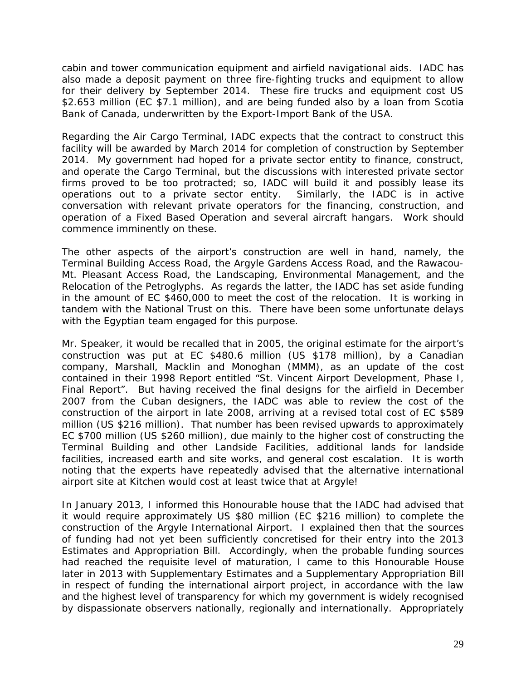cabin and tower communication equipment and airfield navigational aids. IADC has also made a deposit payment on three fire-fighting trucks and equipment to allow for their delivery by September 2014. These fire trucks and equipment cost US \$2.653 million (EC \$7.1 million), and are being funded also by a loan from Scotia Bank of Canada, underwritten by the Export-Import Bank of the USA.

Regarding the Air Cargo Terminal, IADC expects that the contract to construct this facility will be awarded by March 2014 for completion of construction by September 2014. My government had hoped for a private sector entity to finance, construct, and operate the Cargo Terminal, but the discussions with interested private sector firms proved to be too protracted; so, IADC will build it and possibly lease its operations out to a private sector entity. Similarly, the IADC is in active conversation with relevant private operators for the financing, construction, and operation of a Fixed Based Operation and several aircraft hangars. Work should commence imminently on these.

The other aspects of the airport's construction are well in hand, namely, the Terminal Building Access Road, the Argyle Gardens Access Road, and the Rawacou-Mt. Pleasant Access Road, the Landscaping, Environmental Management, and the Relocation of the Petroglyphs. As regards the latter, the IADC has set aside funding in the amount of EC \$460,000 to meet the cost of the relocation. It is working in tandem with the National Trust on this. There have been some unfortunate delays with the Egyptian team engaged for this purpose.

Mr. Speaker, it would be recalled that in 2005, the original estimate for the airport's construction was put at EC \$480.6 million (US \$178 million), by a Canadian company, Marshall, Macklin and Monoghan (MMM), as an update of the cost contained in their 1998 Report entitled "*St. Vincent Airport Development, Phase I, Final Report*". But having received the final designs for the airfield in December 2007 from the Cuban designers, the IADC was able to review the cost of the construction of the airport in late 2008, arriving at a revised total cost of EC \$589 million (US \$216 million). That number has been revised upwards to approximately EC \$700 million (US \$260 million), due mainly to the higher cost of constructing the Terminal Building and other Landside Facilities, additional lands for landside facilities, increased earth and site works, and general cost escalation. It is worth noting that the experts have repeatedly advised that the alternative international airport site at Kitchen would cost at least twice that at Argyle!

In January 2013, I informed this Honourable house that the IADC had advised that it would require approximately US \$80 million (EC \$216 million) to complete the construction of the Argyle International Airport. I explained then that the sources of funding had not yet been sufficiently concretised for their entry into the 2013 Estimates and Appropriation Bill. Accordingly, when the probable funding sources had reached the requisite level of maturation, I came to this Honourable House later in 2013 with Supplementary Estimates and a Supplementary Appropriation Bill in respect of funding the international airport project, in accordance with the law and the highest level of transparency for which my government is widely recognised by dispassionate observers nationally, regionally and internationally. Appropriately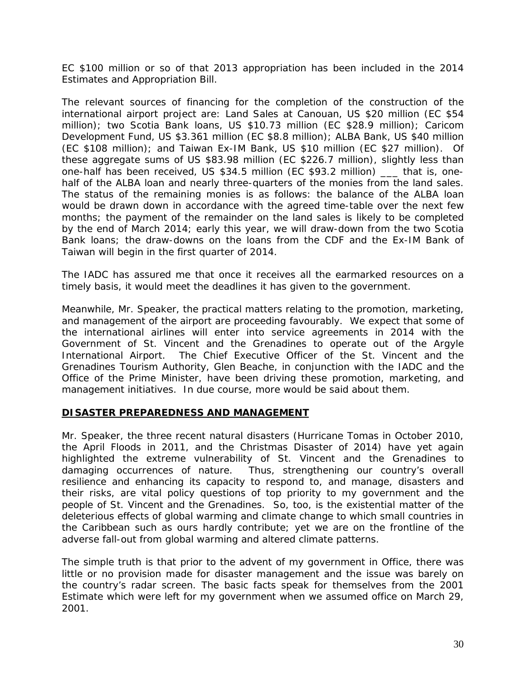EC \$100 million or so of that 2013 appropriation has been included in the 2014 Estimates and Appropriation Bill.

The relevant sources of financing for the completion of the construction of the international airport project are: Land Sales at Canouan, US \$20 million (EC \$54 million); two Scotia Bank loans, US \$10.73 million (EC \$28.9 million); Caricom Development Fund, US \$3.361 million (EC \$8.8 million); ALBA Bank, US \$40 million (EC \$108 million); and Taiwan Ex-IM Bank, US \$10 million (EC \$27 million). Of these aggregate sums of US \$83.98 million (EC \$226.7 million), slightly less than one-half has been received, US \$34.5 million (EC \$93.2 million) \_\_\_ that is, onehalf of the ALBA loan and nearly three-quarters of the monies from the land sales. The status of the remaining monies is as follows: the balance of the ALBA loan would be drawn down in accordance with the agreed time-table over the next few months; the payment of the remainder on the land sales is likely to be completed by the end of March 2014; early this year, we will draw-down from the two Scotia Bank loans; the draw-downs on the loans from the CDF and the Ex-IM Bank of Taiwan will begin in the first quarter of 2014.

The IADC has assured me that once it receives all the earmarked resources on a timely basis, it would meet the deadlines it has given to the government.

Meanwhile, Mr. Speaker, the practical matters relating to the promotion, marketing, and management of the airport are proceeding favourably. We expect that some of the international airlines will enter into service agreements in 2014 with the Government of St. Vincent and the Grenadines to operate out of the Argyle International Airport. The Chief Executive Officer of the St. Vincent and the Grenadines Tourism Authority, Glen Beache, in conjunction with the IADC and the Office of the Prime Minister, have been driving these promotion, marketing, and management initiatives. In due course, more would be said about them.

#### **DISASTER PREPAREDNESS AND MANAGEMENT**

Mr. Speaker, the three recent natural disasters (Hurricane Tomas in October 2010, the April Floods in 2011, and the Christmas Disaster of 2014) have yet again highlighted the extreme vulnerability of St. Vincent and the Grenadines to damaging occurrences of nature. Thus, strengthening our country's overall resilience and enhancing its capacity to respond to, and manage, disasters and their risks, are vital policy questions of top priority to my government and the people of St. Vincent and the Grenadines. So, too, is the existential matter of the deleterious effects of global warming and climate change to which small countries in the Caribbean such as ours hardly contribute; yet we are on the frontline of the adverse fall-out from global warming and altered climate patterns.

The simple truth is that prior to the advent of my government in Office, there was little or no provision made for disaster management and the issue was barely on the country's radar screen. The basic facts speak for themselves from the 2001 Estimate which were left for my government when we assumed office on March 29, 2001.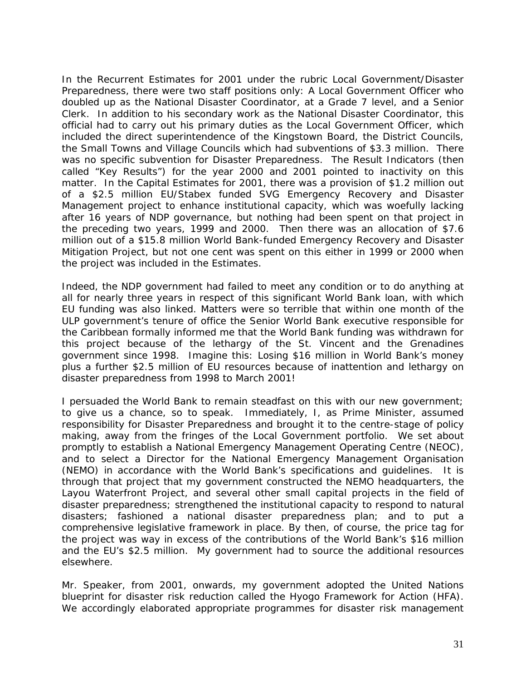In the Recurrent Estimates for 2001 under the rubric Local Government/Disaster Preparedness, there were two staff positions only: A Local Government Officer who doubled up as the National Disaster Coordinator, at a Grade 7 level, and a Senior Clerk. In addition to his secondary work as the National Disaster Coordinator, this official had to carry out his primary duties as the Local Government Officer, which included the direct superintendence of the Kingstown Board, the District Councils, the Small Towns and Village Councils which had subventions of \$3.3 million. There was no specific subvention for Disaster Preparedness. The Result Indicators (then called "Key Results") for the year 2000 and 2001 pointed to inactivity on this matter. In the Capital Estimates for 2001, there was a provision of \$1.2 million out of a \$2.5 million EU/Stabex funded SVG Emergency Recovery and Disaster Management project to enhance institutional capacity, which was woefully lacking after 16 years of NDP governance, but nothing had been spent on that project in the preceding two years, 1999 and 2000. Then there was an allocation of \$7.6 million out of a \$15.8 million World Bank-funded Emergency Recovery and Disaster Mitigation Project, but not one cent was spent on this either in 1999 or 2000 when the project was included in the Estimates.

Indeed, the NDP government had failed to meet any condition or to do anything at all for nearly three years in respect of this significant World Bank loan, with which EU funding was also linked. Matters were so terrible that within one month of the ULP government's tenure of office the Senior World Bank executive responsible for the Caribbean formally informed me that the World Bank funding was withdrawn for this project because of the lethargy of the St. Vincent and the Grenadines government since 1998. Imagine this: Losing \$16 million in World Bank's money plus a further \$2.5 million of EU resources because of inattention and lethargy on disaster preparedness from 1998 to March 2001!

I persuaded the World Bank to remain steadfast on this with our new government; to give us a chance, so to speak. Immediately, I, as Prime Minister, assumed responsibility for Disaster Preparedness and brought it to the centre-stage of policy making, away from the fringes of the Local Government portfolio. We set about promptly to establish a National Emergency Management Operating Centre (NEOC), and to select a Director for the National Emergency Management Organisation (NEMO) in accordance with the World Bank's specifications and guidelines. It is through that project that my government constructed the NEMO headquarters, the Layou Waterfront Project, and several other small capital projects in the field of disaster preparedness; strengthened the institutional capacity to respond to natural disasters; fashioned a national disaster preparedness plan; and to put a comprehensive legislative framework in place. By then, of course, the price tag for the project was way in excess of the contributions of the World Bank's \$16 million and the EU's \$2.5 million. My government had to source the additional resources elsewhere.

Mr. Speaker, from 2001, onwards, my government adopted the United Nations blueprint for disaster risk reduction called the Hyogo Framework for Action (HFA). We accordingly elaborated appropriate programmes for disaster risk management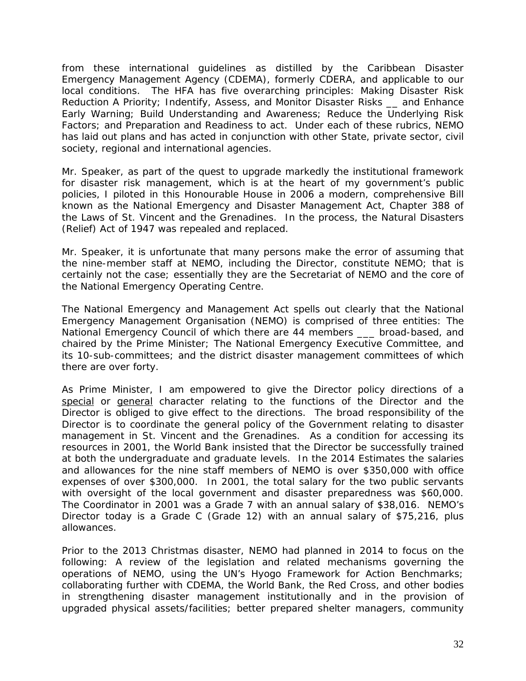from these international guidelines as distilled by the Caribbean Disaster Emergency Management Agency (CDEMA), formerly CDERA, and applicable to our local conditions. The HFA has five overarching principles: Making Disaster Risk Reduction A Priority; Indentify, Assess, and Monitor Disaster Risks \_\_ and Enhance Early Warning; Build Understanding and Awareness; Reduce the Underlying Risk Factors; and Preparation and Readiness to act. Under each of these rubrics, NEMO has laid out plans and has acted in conjunction with other State, private sector, civil society, regional and international agencies.

Mr. Speaker, as part of the quest to upgrade markedly the institutional framework for disaster risk management, which is at the heart of my government's public policies, I piloted in this Honourable House in 2006 a modern, comprehensive Bill known as the National Emergency and Disaster Management Act, Chapter 388 of the Laws of St. Vincent and the Grenadines. In the process, the Natural Disasters (Relief) Act of 1947 was repealed and replaced.

Mr. Speaker, it is unfortunate that many persons make the error of assuming that the nine-member staff at NEMO, including the Director, constitute NEMO; that is certainly not the case; essentially they are the Secretariat of NEMO and the core of the National Emergency Operating Centre.

The National Emergency and Management Act spells out clearly that the National Emergency Management Organisation (NEMO) is comprised of three entities: The National Emergency Council of which there are 44 members \_\_\_ broad-based, and chaired by the Prime Minister; The National Emergency Executive Committee, and its 10-sub-committees; and the district disaster management committees of which there are over forty.

As Prime Minister, I am empowered to give the Director policy directions of a special or general character relating to the functions of the Director and the Director is obliged to give effect to the directions. The broad responsibility of the Director is to coordinate the general policy of the Government relating to disaster management in St. Vincent and the Grenadines. As a condition for accessing its resources in 2001, the World Bank insisted that the Director be successfully trained at both the undergraduate and graduate levels. In the 2014 Estimates the salaries and allowances for the nine staff members of NEMO is over \$350,000 with office expenses of over \$300,000. In 2001, the total salary for the two public servants with oversight of the local government and disaster preparedness was \$60,000. The Coordinator in 2001 was a Grade 7 with an annual salary of \$38,016. NEMO's Director today is a Grade C (Grade 12) with an annual salary of \$75,216, plus allowances.

Prior to the 2013 Christmas disaster, NEMO had planned in 2014 to focus on the following: A review of the legislation and related mechanisms governing the operations of NEMO, using the UN's Hyogo Framework for Action Benchmarks; collaborating further with CDEMA, the World Bank, the Red Cross, and other bodies in strengthening disaster management institutionally and in the provision of upgraded physical assets/facilities; better prepared shelter managers, community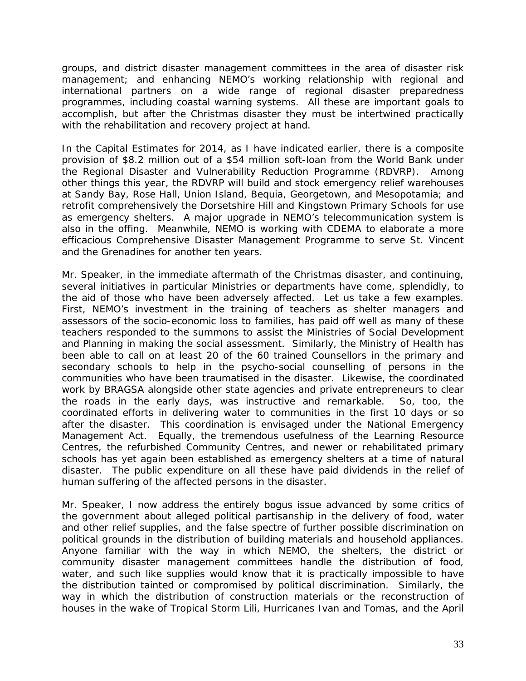groups, and district disaster management committees in the area of disaster risk management; and enhancing NEMO's working relationship with regional and international partners on a wide range of regional disaster preparedness programmes, including coastal warning systems. All these are important goals to accomplish, but after the Christmas disaster they must be intertwined practically with the rehabilitation and recovery project at hand.

In the Capital Estimates for 2014, as I have indicated earlier, there is a composite provision of \$8.2 million out of a \$54 million soft-loan from the World Bank under the Regional Disaster and Vulnerability Reduction Programme (RDVRP). Among other things this year, the RDVRP will build and stock emergency relief warehouses at Sandy Bay, Rose Hall, Union Island, Bequia, Georgetown, and Mesopotamia; and retrofit comprehensively the Dorsetshire Hill and Kingstown Primary Schools for use as emergency shelters. A major upgrade in NEMO's telecommunication system is also in the offing. Meanwhile, NEMO is working with CDEMA to elaborate a more efficacious Comprehensive Disaster Management Programme to serve St. Vincent and the Grenadines for another ten years.

Mr. Speaker, in the immediate aftermath of the Christmas disaster, and continuing, several initiatives in particular Ministries or departments have come, splendidly, to the aid of those who have been adversely affected. Let us take a few examples. First, NEMO's investment in the training of teachers as shelter managers and assessors of the socio-economic loss to families, has paid off well as many of these teachers responded to the summons to assist the Ministries of Social Development and Planning in making the social assessment. Similarly, the Ministry of Health has been able to call on at least 20 of the 60 trained Counsellors in the primary and secondary schools to help in the psycho-social counselling of persons in the communities who have been traumatised in the disaster. Likewise, the coordinated work by BRAGSA alongside other state agencies and private entrepreneurs to clear the roads in the early days, was instructive and remarkable. So, too, the coordinated efforts in delivering water to communities in the first 10 days or so after the disaster. This coordination is envisaged under the National Emergency Management Act. Equally, the tremendous usefulness of the Learning Resource Centres, the refurbished Community Centres, and newer or rehabilitated primary schools has yet again been established as emergency shelters at a time of natural disaster. The public expenditure on all these have paid dividends in the relief of human suffering of the affected persons in the disaster.

Mr. Speaker, I now address the entirely bogus issue advanced by some critics of the government about alleged political partisanship in the delivery of food, water and other relief supplies, and the false spectre of further possible discrimination on political grounds in the distribution of building materials and household appliances. Anyone familiar with the way in which NEMO, the shelters, the district or community disaster management committees handle the distribution of food, water, and such like supplies would know that it is practically impossible to have the distribution tainted or compromised by political discrimination. Similarly, the way in which the distribution of construction materials or the reconstruction of houses in the wake of Tropical Storm Lili, Hurricanes Ivan and Tomas, and the April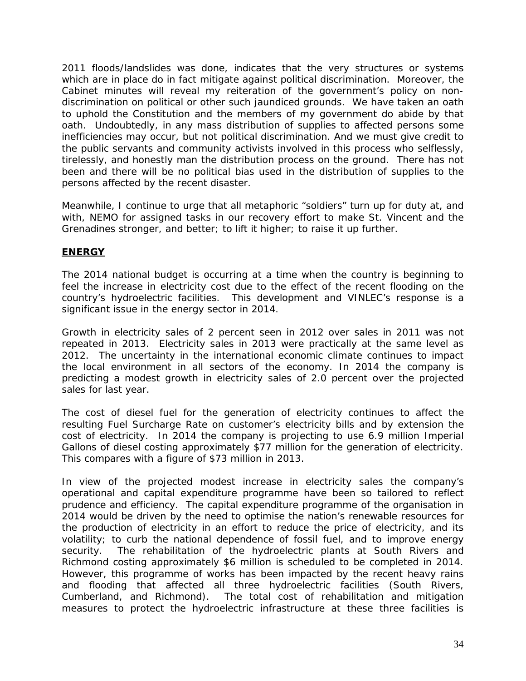2011 floods/landslides was done, indicates that the very structures or systems which are in place do in fact mitigate against political discrimination. Moreover, the Cabinet minutes will reveal my reiteration of the government's policy on nondiscrimination on political or other such jaundiced grounds. We have taken an oath to uphold the Constitution and the members of my government do abide by that oath. Undoubtedly, in any mass distribution of supplies to affected persons some inefficiencies may occur, but not political discrimination. And we must give credit to the public servants and community activists involved in this process who selflessly, tirelessly, and honestly man the distribution process on the ground. There has not been and there will be no political bias used in the distribution of supplies to the persons affected by the recent disaster.

Meanwhile, I continue to urge that all metaphoric "soldiers" turn up for duty at, and with, NEMO for assigned tasks in our recovery effort to make St. Vincent and the Grenadines stronger, and better; to lift it higher; to raise it up further.

# **ENERGY**

The 2014 national budget is occurring at a time when the country is beginning to feel the increase in electricity cost due to the effect of the recent flooding on the country's hydroelectric facilities. This development and VINLEC's response is a significant issue in the energy sector in 2014.

Growth in electricity sales of 2 percent seen in 2012 over sales in 2011 was not repeated in 2013. Electricity sales in 2013 were practically at the same level as 2012. The uncertainty in the international economic climate continues to impact the local environment in all sectors of the economy. In 2014 the company is predicting a modest growth in electricity sales of 2.0 percent over the projected sales for last year.

The cost of diesel fuel for the generation of electricity continues to affect the resulting Fuel Surcharge Rate on customer's electricity bills and by extension the cost of electricity. In 2014 the company is projecting to use 6.9 million Imperial Gallons of diesel costing approximately \$77 million for the generation of electricity. This compares with a figure of \$73 million in 2013.

In view of the projected modest increase in electricity sales the company's operational and capital expenditure programme have been so tailored to reflect prudence and efficiency. The capital expenditure programme of the organisation in 2014 would be driven by the need to optimise the nation's renewable resources for the production of electricity in an effort to reduce the price of electricity, and its volatility; to curb the national dependence of fossil fuel, and to improve energy security. The rehabilitation of the hydroelectric plants at South Rivers and Richmond costing approximately \$6 million is scheduled to be completed in 2014. However, this programme of works has been impacted by the recent heavy rains and flooding that affected all three hydroelectric facilities (South Rivers, Cumberland, and Richmond). The total cost of rehabilitation and mitigation measures to protect the hydroelectric infrastructure at these three facilities is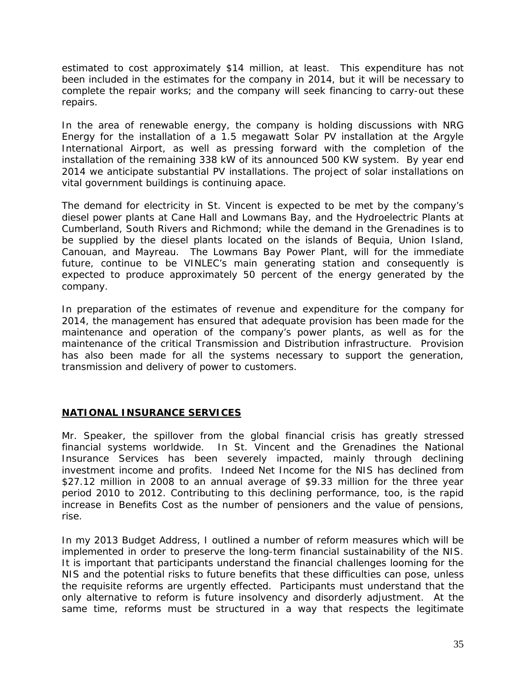estimated to cost approximately \$14 million, at least. This expenditure has not been included in the estimates for the company in 2014, but it will be necessary to complete the repair works; and the company will seek financing to carry-out these repairs.

In the area of renewable energy, the company is holding discussions with NRG Energy for the installation of a 1.5 megawatt Solar PV installation at the Argyle International Airport, as well as pressing forward with the completion of the installation of the remaining 338 kW of its announced 500 KW system. By year end 2014 we anticipate substantial PV installations. The project of solar installations on vital government buildings is continuing apace.

The demand for electricity in St. Vincent is expected to be met by the company's diesel power plants at Cane Hall and Lowmans Bay, and the Hydroelectric Plants at Cumberland, South Rivers and Richmond; while the demand in the Grenadines is to be supplied by the diesel plants located on the islands of Bequia, Union Island, Canouan, and Mayreau. The Lowmans Bay Power Plant, will for the immediate future, continue to be VINLEC's main generating station and consequently is expected to produce approximately 50 percent of the energy generated by the company.

In preparation of the estimates of revenue and expenditure for the company for 2014, the management has ensured that adequate provision has been made for the maintenance and operation of the company's power plants, as well as for the maintenance of the critical Transmission and Distribution infrastructure. Provision has also been made for all the systems necessary to support the generation, transmission and delivery of power to customers.

# **NATIONAL INSURANCE SERVICES**

Mr. Speaker, the spillover from the global financial crisis has greatly stressed financial systems worldwide. In St. Vincent and the Grenadines the National Insurance Services has been severely impacted, mainly through declining investment income and profits. Indeed Net Income for the NIS has declined from \$27.12 million in 2008 to an annual average of \$9.33 million for the three year period 2010 to 2012. Contributing to this declining performance, too, is the rapid increase in Benefits Cost as the number of pensioners and the value of pensions, rise.

In my 2013 Budget Address, I outlined a number of reform measures which will be implemented in order to preserve the long-term financial sustainability of the NIS. It is important that participants understand the financial challenges looming for the NIS and the potential risks to future benefits that these difficulties can pose, unless the requisite reforms are urgently effected. Participants must understand that the only alternative to reform is future insolvency and disorderly adjustment. At the same time, reforms must be structured in a way that respects the legitimate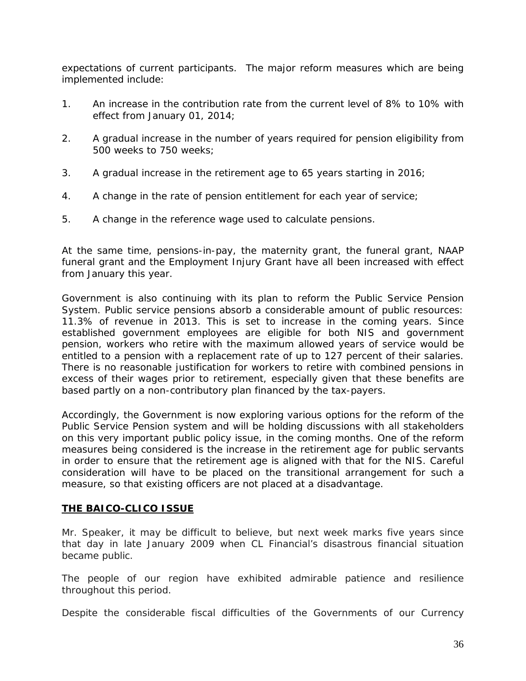expectations of current participants. The major reform measures which are being implemented include:

- 1. An increase in the contribution rate from the current level of 8% to 10% with effect from January 01, 2014;
- 2. A gradual increase in the number of years required for pension eligibility from 500 weeks to 750 weeks;
- 3. A gradual increase in the retirement age to 65 years starting in 2016;
- 4. A change in the rate of pension entitlement for each year of service;
- 5. A change in the reference wage used to calculate pensions.

At the same time, pensions-in-pay, the maternity grant, the funeral grant, NAAP funeral grant and the Employment Injury Grant have all been increased with effect from January this year.

Government is also continuing with its plan to reform the Public Service Pension System. Public service pensions absorb a considerable amount of public resources: 11.3% of revenue in 2013. This is set to increase in the coming years. Since established government employees are eligible for both NIS and government pension, workers who retire with the maximum allowed years of service would be entitled to a pension with a replacement rate of up to 127 percent of their salaries. There is no reasonable justification for workers to retire with combined pensions in excess of their wages prior to retirement, especially given that these benefits are based partly on a non-contributory plan financed by the tax-payers.

Accordingly, the Government is now exploring various options for the reform of the Public Service Pension system and will be holding discussions with all stakeholders on this very important public policy issue, in the coming months. One of the reform measures being considered is the increase in the retirement age for public servants in order to ensure that the retirement age is aligned with that for the NIS. Careful consideration will have to be placed on the transitional arrangement for such a measure, so that existing officers are not placed at a disadvantage.

#### **THE BAICO-CLICO ISSUE**

Mr. Speaker, it may be difficult to believe, but next week marks five years since that day in late January 2009 when CL Financial's disastrous financial situation became public.

The people of our region have exhibited admirable patience and resilience throughout this period.

Despite the considerable fiscal difficulties of the Governments of our Currency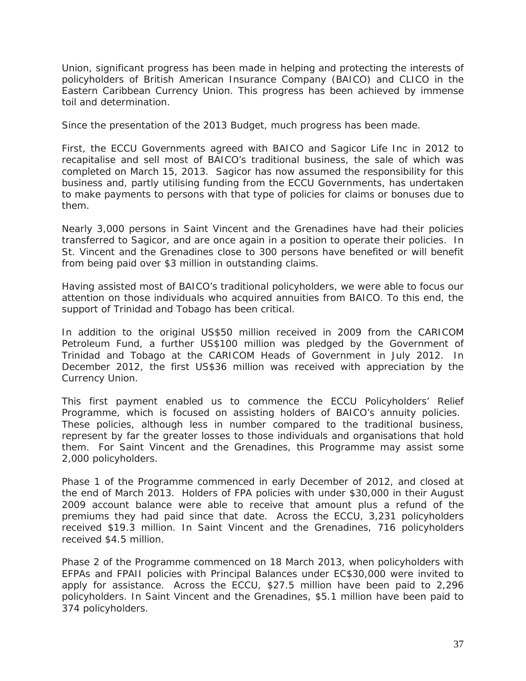Union, significant progress has been made in helping and protecting the interests of policyholders of British American Insurance Company (BAICO) and CLICO in the Eastern Caribbean Currency Union. This progress has been achieved by immense toil and determination.

Since the presentation of the 2013 Budget, much progress has been made.

First, the ECCU Governments agreed with BAICO and Sagicor Life Inc in 2012 to recapitalise and sell most of BAICO's traditional business, the sale of which was completed on March 15, 2013. Sagicor has now assumed the responsibility for this business and, partly utilising funding from the ECCU Governments, has undertaken to make payments to persons with that type of policies for claims or bonuses due to them.

Nearly 3,000 persons in Saint Vincent and the Grenadines have had their policies transferred to Sagicor, and are once again in a position to operate their policies. In St. Vincent and the Grenadines close to 300 persons have benefited or will benefit from being paid over \$3 million in outstanding claims.

Having assisted most of BAICO's traditional policyholders, we were able to focus our attention on those individuals who acquired annuities from BAICO. To this end, the support of Trinidad and Tobago has been critical.

In addition to the original US\$50 million received in 2009 from the CARICOM Petroleum Fund, a further US\$100 million was pledged by the Government of Trinidad and Tobago at the CARICOM Heads of Government in July 2012. In December 2012, the first US\$36 million was received with appreciation by the Currency Union.

This first payment enabled us to commence the ECCU Policyholders' Relief Programme, which is focused on assisting holders of BAICO's annuity policies. These policies, although less in number compared to the traditional business, represent by far the greater losses to those individuals and organisations that hold them. For Saint Vincent and the Grenadines, this Programme may assist some 2,000 policyholders.

Phase 1 of the Programme commenced in early December of 2012, and closed at the end of March 2013. Holders of FPA policies with under \$30,000 in their August 2009 account balance were able to receive that amount plus a refund of the premiums they had paid since that date. Across the ECCU, 3,231 policyholders received \$19.3 million. In Saint Vincent and the Grenadines, 716 policyholders received \$4.5 million.

Phase 2 of the Programme commenced on 18 March 2013, when policyholders with EFPAs and FPAII policies with Principal Balances under EC\$30,000 were invited to apply for assistance. Across the ECCU, \$27.5 million have been paid to 2,296 policyholders. In Saint Vincent and the Grenadines, \$5.1 million have been paid to 374 policyholders.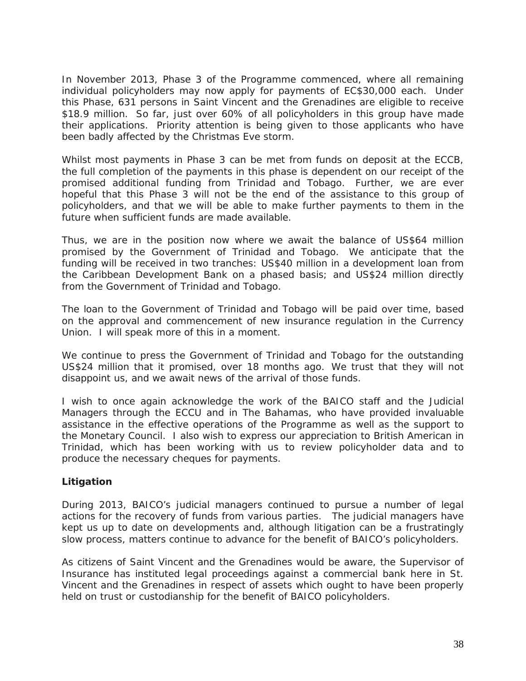In November 2013, Phase 3 of the Programme commenced, where all remaining individual policyholders may now apply for payments of EC\$30,000 each. Under this Phase, 631 persons in Saint Vincent and the Grenadines are eligible to receive \$18.9 million. So far, just over 60% of all policyholders in this group have made their applications. Priority attention is being given to those applicants who have been badly affected by the Christmas Eve storm.

Whilst most payments in Phase 3 can be met from funds on deposit at the ECCB, the full completion of the payments in this phase is dependent on our receipt of the promised additional funding from Trinidad and Tobago. Further, we are ever hopeful that this Phase 3 will not be the end of the assistance to this group of policyholders, and that we will be able to make further payments to them in the future when sufficient funds are made available.

Thus, we are in the position now where we await the balance of US\$64 million promised by the Government of Trinidad and Tobago. We anticipate that the funding will be received in two tranches: US\$40 million in a development loan from the Caribbean Development Bank on a phased basis; and US\$24 million directly from the Government of Trinidad and Tobago.

The loan to the Government of Trinidad and Tobago will be paid over time, based on the approval and commencement of new insurance regulation in the Currency Union. I will speak more of this in a moment.

We continue to press the Government of Trinidad and Tobago for the outstanding US\$24 million that it promised, over 18 months ago. We trust that they will not disappoint us, and we await news of the arrival of those funds.

I wish to once again acknowledge the work of the BAICO staff and the Judicial Managers through the ECCU and in The Bahamas, who have provided invaluable assistance in the effective operations of the Programme as well as the support to the Monetary Council. I also wish to express our appreciation to British American in Trinidad, which has been working with us to review policyholder data and to produce the necessary cheques for payments.

# *Litigation*

During 2013, BAICO's judicial managers continued to pursue a number of legal actions for the recovery of funds from various parties. The judicial managers have kept us up to date on developments and, although litigation can be a frustratingly slow process, matters continue to advance for the benefit of BAICO's policyholders.

As citizens of Saint Vincent and the Grenadines would be aware, the Supervisor of Insurance has instituted legal proceedings against a commercial bank here in St. Vincent and the Grenadines in respect of assets which ought to have been properly held on trust or custodianship for the benefit of BAICO policyholders.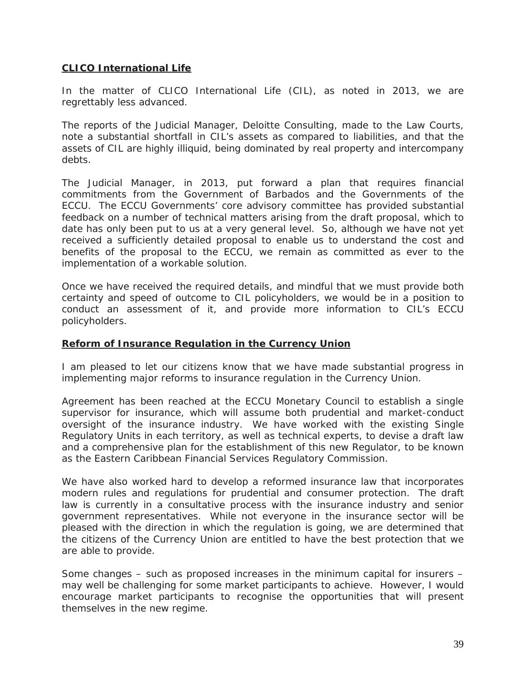# **CLICO International Life**

In the matter of CLICO International Life (CIL), as noted in 2013, we are regrettably less advanced.

The reports of the Judicial Manager, Deloitte Consulting, made to the Law Courts, note a substantial shortfall in CIL's assets as compared to liabilities, and that the assets of CIL are highly illiquid, being dominated by real property and intercompany debts.

The Judicial Manager, in 2013, put forward a plan that requires financial commitments from the Government of Barbados and the Governments of the ECCU. The ECCU Governments' core advisory committee has provided substantial feedback on a number of technical matters arising from the draft proposal, which to date has only been put to us at a very general level. So, although we have not yet received a sufficiently detailed proposal to enable us to understand the cost and benefits of the proposal to the ECCU, we remain as committed as ever to the implementation of a workable solution.

Once we have received the required details, and mindful that we must provide both certainty and speed of outcome to CIL policyholders, we would be in a position to conduct an assessment of it, and provide more information to CIL's ECCU policyholders.

#### **Reform of Insurance Regulation in the Currency Union**

I am pleased to let our citizens know that we have made substantial progress in implementing major reforms to insurance regulation in the Currency Union.

Agreement has been reached at the ECCU Monetary Council to establish a single supervisor for insurance, which will assume both prudential and market-conduct oversight of the insurance industry. We have worked with the existing Single Regulatory Units in each territory, as well as technical experts, to devise a draft law and a comprehensive plan for the establishment of this new Regulator, to be known as the Eastern Caribbean Financial Services Regulatory Commission.

We have also worked hard to develop a reformed insurance law that incorporates modern rules and regulations for prudential and consumer protection. The draft law is currently in a consultative process with the insurance industry and senior government representatives. While not everyone in the insurance sector will be pleased with the direction in which the regulation is going, we are determined that the citizens of the Currency Union are entitled to have the best protection that we are able to provide.

Some changes – such as proposed increases in the minimum capital for insurers – may well be challenging for some market participants to achieve. However, I would encourage market participants to recognise the opportunities that will present themselves in the new regime.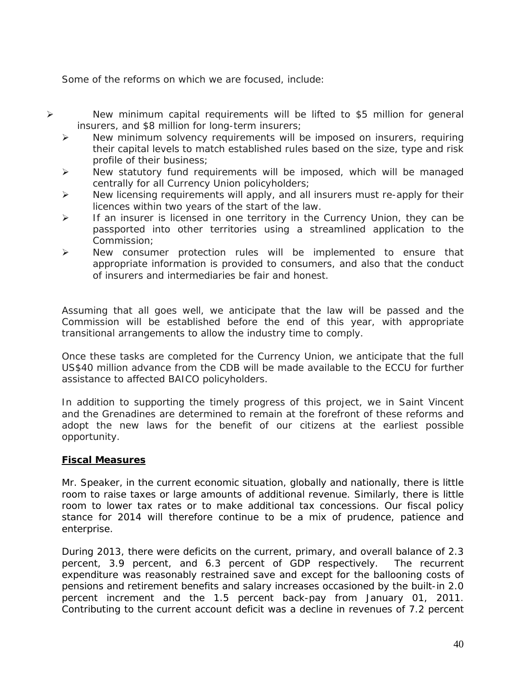Some of the reforms on which we are focused, include:

- New minimum capital requirements will be lifted to \$5 million for general insurers, and \$8 million for long-term insurers;
	- New minimum solvency requirements will be imposed on insurers, requiring their capital levels to match established rules based on the size, type and risk profile of their business;
	- $\triangleright$  New statutory fund requirements will be imposed, which will be managed centrally for all Currency Union policyholders;
	- $\triangleright$  New licensing requirements will apply, and all insurers must re-apply for their licences within two years of the start of the law.
	- $\triangleright$  If an insurer is licensed in one territory in the Currency Union, they can be passported into other territories using a streamlined application to the Commission;
	- $\triangleright$  New consumer protection rules will be implemented to ensure that appropriate information is provided to consumers, and also that the conduct of insurers and intermediaries be fair and honest.

Assuming that all goes well, we anticipate that the law will be passed and the Commission will be established before the end of this year, with appropriate transitional arrangements to allow the industry time to comply.

Once these tasks are completed for the Currency Union, we anticipate that the full US\$40 million advance from the CDB will be made available to the ECCU for further assistance to affected BAICO policyholders.

In addition to supporting the timely progress of this project, we in Saint Vincent and the Grenadines are determined to remain at the forefront of these reforms and adopt the new laws for the benefit of our citizens at the earliest possible opportunity.

# **Fiscal Measures**

Mr. Speaker, in the current economic situation, globally and nationally, there is little room to raise taxes or large amounts of additional revenue. Similarly, there is little room to lower tax rates or to make additional tax concessions. Our fiscal policy stance for 2014 will therefore continue to be a mix of prudence, patience and enterprise.

During 2013, there were deficits on the current, primary, and overall balance of 2.3 percent, 3.9 percent, and 6.3 percent of GDP respectively. The recurrent expenditure was reasonably restrained save and except for the ballooning costs of pensions and retirement benefits and salary increases occasioned by the built-in 2.0 percent increment and the 1.5 percent back-pay from January 01, 2011. Contributing to the current account deficit was a decline in revenues of 7.2 percent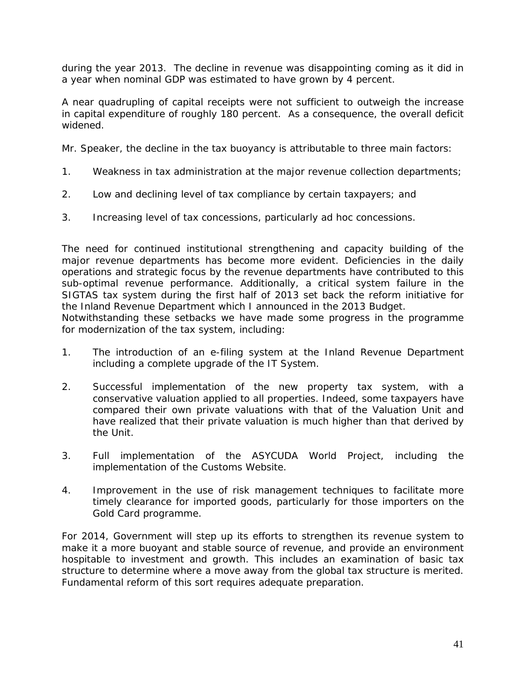during the year 2013. The decline in revenue was disappointing coming as it did in a year when nominal GDP was estimated to have grown by 4 percent.

A near quadrupling of capital receipts were not sufficient to outweigh the increase in capital expenditure of roughly 180 percent. As a consequence, the overall deficit widened.

Mr. Speaker, the decline in the tax buoyancy is attributable to three main factors:

- 1. Weakness in tax administration at the major revenue collection departments;
- 2. Low and declining level of tax compliance by certain taxpayers; and
- 3. Increasing level of tax concessions, particularly ad hoc concessions.

The need for continued institutional strengthening and capacity building of the major revenue departments has become more evident. Deficiencies in the daily operations and strategic focus by the revenue departments have contributed to this sub-optimal revenue performance. Additionally, a critical system failure in the SIGTAS tax system during the first half of 2013 set back the reform initiative for the Inland Revenue Department which I announced in the 2013 Budget.

Notwithstanding these setbacks we have made some progress in the programme for modernization of the tax system, including:

- 1. The introduction of an e-filing system at the Inland Revenue Department including a complete upgrade of the IT System.
- 2. Successful implementation of the new property tax system, with a conservative valuation applied to all properties. Indeed, some taxpayers have compared their own private valuations with that of the Valuation Unit and have realized that their private valuation is much higher than that derived by the Unit.
- 3. Full implementation of the ASYCUDA World Project, including the implementation of the Customs Website.
- 4. Improvement in the use of risk management techniques to facilitate more timely clearance for imported goods, particularly for those importers on the Gold Card programme.

For 2014, Government will step up its efforts to strengthen its revenue system to make it a more buoyant and stable source of revenue, and provide an environment hospitable to investment and growth. This includes an examination of basic tax structure to determine where a move away from the global tax structure is merited. Fundamental reform of this sort requires adequate preparation.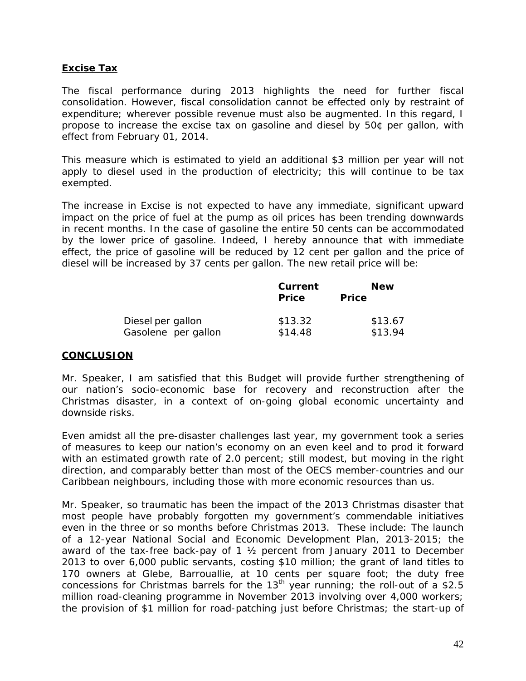## **Excise Tax**

The fiscal performance during 2013 highlights the need for further fiscal consolidation. However, fiscal consolidation cannot be effected only by restraint of expenditure; wherever possible revenue must also be augmented. In this regard, I propose to increase the excise tax on gasoline and diesel by 50¢ per gallon, with effect from February 01, 2014.

This measure which is estimated to yield an additional \$3 million per year will not apply to diesel used in the production of electricity; this will continue to be tax exempted.

The increase in Excise is not expected to have any immediate, significant upward impact on the price of fuel at the pump as oil prices has been trending downwards in recent months. In the case of gasoline the entire 50 cents can be accommodated by the lower price of gasoline. Indeed, I hereby announce that with immediate effect, the price of gasoline will be reduced by 12 cent per gallon and the price of diesel will be increased by 37 cents per gallon. The new retail price will be:

|                     | Current<br><b>Price</b> | <b>New</b><br><b>Price</b> |
|---------------------|-------------------------|----------------------------|
| Diesel per gallon   | \$13.32                 | \$13.67                    |
| Gasolene per gallon | \$14.48                 | \$13.94                    |

#### **CONCLUSION**

Mr. Speaker, I am satisfied that this Budget will provide further strengthening of our nation's socio-economic base for recovery and reconstruction after the Christmas disaster, in a context of on-going global economic uncertainty and downside risks.

Even amidst all the pre-disaster challenges last year, my government took a series of measures to keep our nation's economy on an even keel and to prod it forward with an estimated growth rate of 2.0 percent; still modest, but moving in the right direction, and comparably better than most of the OECS member-countries and our Caribbean neighbours, including those with more economic resources than us.

Mr. Speaker, so traumatic has been the impact of the 2013 Christmas disaster that most people have probably forgotten my government's commendable initiatives even in the three or so months before Christmas 2013. These include: The launch of a 12-year National Social and Economic Development Plan, 2013-2015; the award of the tax-free back-pay of 1 ½ percent from January 2011 to December 2013 to over 6,000 public servants, costing \$10 million; the grant of land titles to 170 owners at Glebe, Barrouallie, at 10 cents per square foot; the duty free concessions for Christmas barrels for the  $13<sup>th</sup>$  year running; the roll-out of a \$2.5 million road-cleaning programme in November 2013 involving over 4,000 workers; the provision of \$1 million for road-patching just before Christmas; the start-up of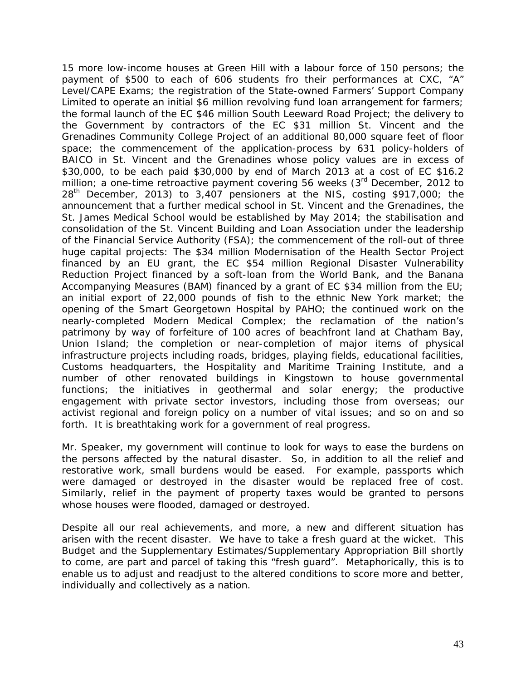15 more low-income houses at Green Hill with a labour force of 150 persons; the payment of \$500 to each of 606 students fro their performances at CXC, "A" Level/CAPE Exams; the registration of the State-owned Farmers' Support Company Limited to operate an initial \$6 million revolving fund loan arrangement for farmers; the formal launch of the EC \$46 million South Leeward Road Project; the delivery to the Government by contractors of the EC \$31 million St. Vincent and the Grenadines Community College Project of an additional 80,000 square feet of floor space; the commencement of the application-process by 631 policy-holders of BAICO in St. Vincent and the Grenadines whose policy values are in excess of \$30,000, to be each paid \$30,000 by end of March 2013 at a cost of EC \$16.2 million; a one-time retroactive payment covering 56 weeks (3<sup>rd</sup> December, 2012 to 28<sup>th</sup> December, 2013) to 3,407 pensioners at the NIS, costing \$917,000; the announcement that a further medical school in St. Vincent and the Grenadines, the St. James Medical School would be established by May 2014; the stabilisation and consolidation of the St. Vincent Building and Loan Association under the leadership of the Financial Service Authority (FSA); the commencement of the roll-out of three huge capital projects: The \$34 million Modernisation of the Health Sector Project financed by an EU grant, the EC \$54 million Regional Disaster Vulnerability Reduction Project financed by a soft-loan from the World Bank, and the Banana Accompanying Measures (BAM) financed by a grant of EC \$34 million from the EU; an initial export of 22,000 pounds of fish to the ethnic New York market; the opening of the Smart Georgetown Hospital by PAHO; the continued work on the nearly-completed Modern Medical Complex; the reclamation of the nation's patrimony by way of forfeiture of 100 acres of beachfront land at Chatham Bay, Union Island; the completion or near-completion of major items of physical infrastructure projects including roads, bridges, playing fields, educational facilities, Customs headquarters, the Hospitality and Maritime Training Institute, and a number of other renovated buildings in Kingstown to house governmental functions; the initiatives in geothermal and solar energy; the productive engagement with private sector investors, including those from overseas; our activist regional and foreign policy on a number of vital issues; and so on and so forth. It is breathtaking work for a government of real progress.

Mr. Speaker, my government will continue to look for ways to ease the burdens on the persons affected by the natural disaster. So, in addition to all the relief and restorative work, small burdens would be eased. For example, passports which were damaged or destroyed in the disaster would be replaced free of cost. Similarly, relief in the payment of property taxes would be granted to persons whose houses were flooded, damaged or destroyed.

Despite all our real achievements, and more, a new and different situation has arisen with the recent disaster. We have to take a fresh guard at the wicket. This Budget and the Supplementary Estimates/Supplementary Appropriation Bill shortly to come, are part and parcel of taking this "fresh guard". Metaphorically, this is to enable us to adjust and readjust to the altered conditions to score more and better, individually and collectively as a nation.